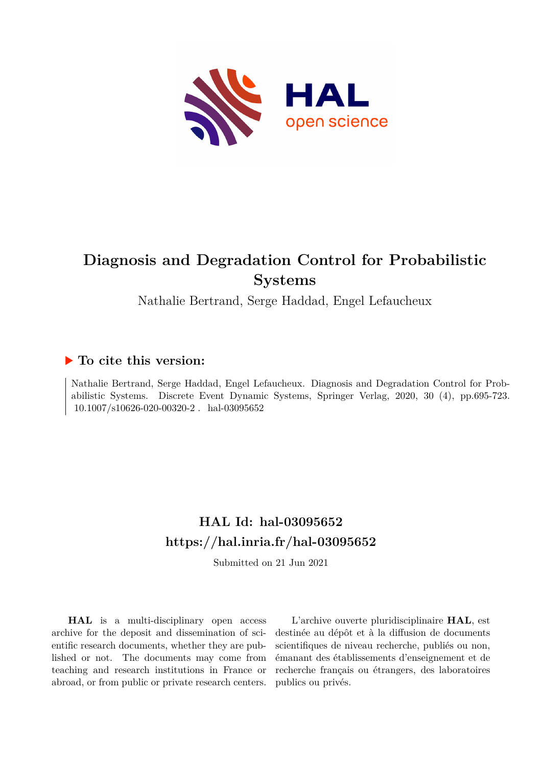

# **Diagnosis and Degradation Control for Probabilistic Systems**

Nathalie Bertrand, Serge Haddad, Engel Lefaucheux

# **To cite this version:**

Nathalie Bertrand, Serge Haddad, Engel Lefaucheux. Diagnosis and Degradation Control for Probabilistic Systems. Discrete Event Dynamic Systems, Springer Verlag, 2020, 30 (4), pp.695-723.  $10.1007/s10626-020-00320-2$ . hal-03095652

# **HAL Id: hal-03095652 <https://hal.inria.fr/hal-03095652>**

Submitted on 21 Jun 2021

**HAL** is a multi-disciplinary open access archive for the deposit and dissemination of scientific research documents, whether they are published or not. The documents may come from teaching and research institutions in France or abroad, or from public or private research centers.

L'archive ouverte pluridisciplinaire **HAL**, est destinée au dépôt et à la diffusion de documents scientifiques de niveau recherche, publiés ou non, émanant des établissements d'enseignement et de recherche français ou étrangers, des laboratoires publics ou privés.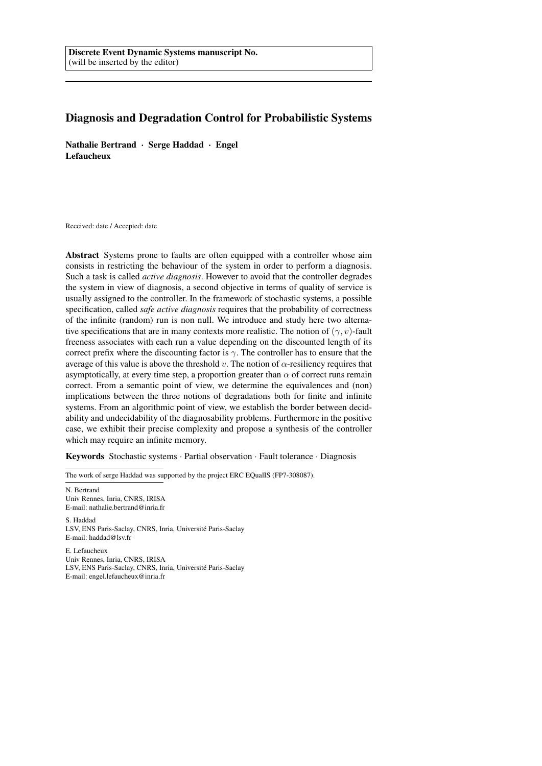# Diagnosis and Degradation Control for Probabilistic Systems

Nathalie Bertrand · Serge Haddad · Engel Lefaucheux

Received: date / Accepted: date

Abstract Systems prone to faults are often equipped with a controller whose aim consists in restricting the behaviour of the system in order to perform a diagnosis. Such a task is called *active diagnosis*. However to avoid that the controller degrades the system in view of diagnosis, a second objective in terms of quality of service is usually assigned to the controller. In the framework of stochastic systems, a possible specification, called *safe active diagnosis* requires that the probability of correctness of the infinite (random) run is non null. We introduce and study here two alternative specifications that are in many contexts more realistic. The notion of  $(\gamma, v)$ -fault freeness associates with each run a value depending on the discounted length of its correct prefix where the discounting factor is  $\gamma$ . The controller has to ensure that the average of this value is above the threshold v. The notion of  $\alpha$ -resiliency requires that asymptotically, at every time step, a proportion greater than  $\alpha$  of correct runs remain correct. From a semantic point of view, we determine the equivalences and (non) implications between the three notions of degradations both for finite and infinite systems. From an algorithmic point of view, we establish the border between decidability and undecidability of the diagnosability problems. Furthermore in the positive case, we exhibit their precise complexity and propose a synthesis of the controller which may require an infinite memory.

Keywords Stochastic systems · Partial observation · Fault tolerance · Diagnosis

The work of serge Haddad was supported by the project ERC EQualIS (FP7-308087).

N. Bertrand Univ Rennes, Inria, CNRS, IRISA E-mail: nathalie.bertrand@inria.fr

S. Haddad LSV, ENS Paris-Saclay, CNRS, Inria, Universite Paris-Saclay ´ E-mail: haddad@lsv.fr

E. Lefaucheux Univ Rennes, Inria, CNRS, IRISA LSV, ENS Paris-Saclay, CNRS, Inria, Université Paris-Saclay E-mail: engel.lefaucheux@inria.fr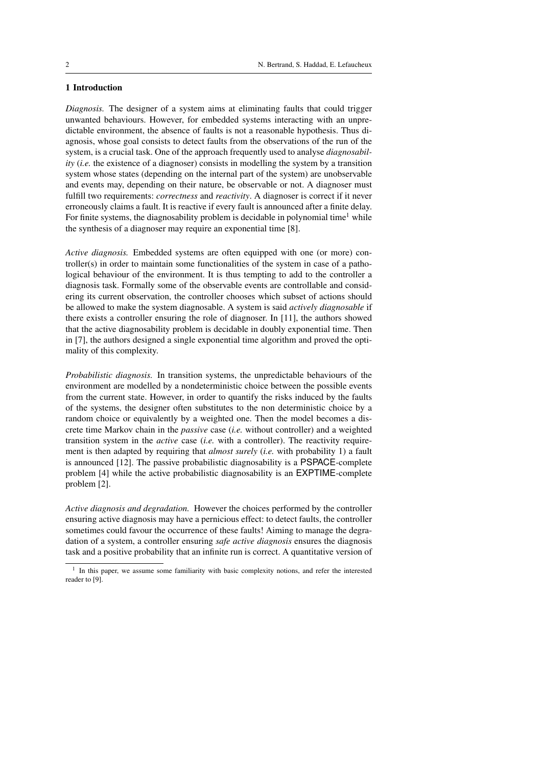# 1 Introduction

*Diagnosis.* The designer of a system aims at eliminating faults that could trigger unwanted behaviours. However, for embedded systems interacting with an unpredictable environment, the absence of faults is not a reasonable hypothesis. Thus diagnosis, whose goal consists to detect faults from the observations of the run of the system, is a crucial task. One of the approach frequently used to analyse *diagnosability* (*i.e.* the existence of a diagnoser) consists in modelling the system by a transition system whose states (depending on the internal part of the system) are unobservable and events may, depending on their nature, be observable or not. A diagnoser must fulfill two requirements: *correctness* and *reactivity*. A diagnoser is correct if it never erroneously claims a fault. It is reactive if every fault is announced after a finite delay. For finite systems, the diagnosability problem is decidable in polynomial time<sup>1</sup> while the synthesis of a diagnoser may require an exponential time [8].

*Active diagnosis.* Embedded systems are often equipped with one (or more) controller(s) in order to maintain some functionalities of the system in case of a pathological behaviour of the environment. It is thus tempting to add to the controller a diagnosis task. Formally some of the observable events are controllable and considering its current observation, the controller chooses which subset of actions should be allowed to make the system diagnosable. A system is said *actively diagnosable* if there exists a controller ensuring the role of diagnoser. In [11], the authors showed that the active diagnosability problem is decidable in doubly exponential time. Then in [7], the authors designed a single exponential time algorithm and proved the optimality of this complexity.

*Probabilistic diagnosis.* In transition systems, the unpredictable behaviours of the environment are modelled by a nondeterministic choice between the possible events from the current state. However, in order to quantify the risks induced by the faults of the systems, the designer often substitutes to the non deterministic choice by a random choice or equivalently by a weighted one. Then the model becomes a discrete time Markov chain in the *passive* case (*i.e.* without controller) and a weighted transition system in the *active* case (*i.e.* with a controller). The reactivity requirement is then adapted by requiring that *almost surely* (*i.e.* with probability 1) a fault is announced [12]. The passive probabilistic diagnosability is a PSPACE-complete problem [4] while the active probabilistic diagnosability is an EXPTIME-complete problem [2].

*Active diagnosis and degradation.* However the choices performed by the controller ensuring active diagnosis may have a pernicious effect: to detect faults, the controller sometimes could favour the occurrence of these faults! Aiming to manage the degradation of a system, a controller ensuring *safe active diagnosis* ensures the diagnosis task and a positive probability that an infinite run is correct. A quantitative version of

<sup>&</sup>lt;sup>1</sup> In this paper, we assume some familiarity with basic complexity notions, and refer the interested reader to [9].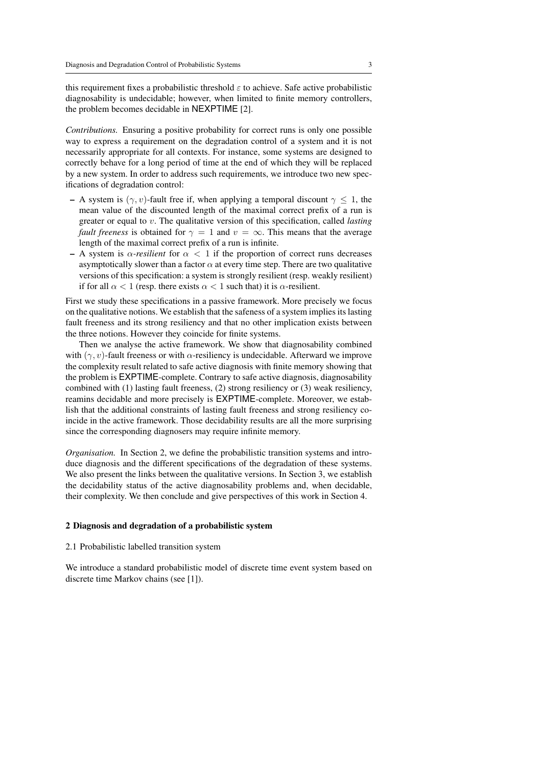this requirement fixes a probabilistic threshold  $\varepsilon$  to achieve. Safe active probabilistic diagnosability is undecidable; however, when limited to finite memory controllers, the problem becomes decidable in NEXPTIME [2].

*Contributions.* Ensuring a positive probability for correct runs is only one possible way to express a requirement on the degradation control of a system and it is not necessarily appropriate for all contexts. For instance, some systems are designed to correctly behave for a long period of time at the end of which they will be replaced by a new system. In order to address such requirements, we introduce two new specifications of degradation control:

- A system is  $(\gamma, v)$ -fault free if, when applying a temporal discount  $\gamma \leq 1$ , the mean value of the discounted length of the maximal correct prefix of a run is greater or equal to v. The qualitative version of this specification, called *lasting fault freeness* is obtained for  $\gamma = 1$  and  $v = \infty$ . This means that the average length of the maximal correct prefix of a run is infinite.
- A system is  $\alpha$ -resilient for  $\alpha < 1$  if the proportion of correct runs decreases asymptotically slower than a factor  $\alpha$  at every time step. There are two qualitative versions of this specification: a system is strongly resilient (resp. weakly resilient) if for all  $\alpha < 1$  (resp. there exists  $\alpha < 1$  such that) it is  $\alpha$ -resilient.

First we study these specifications in a passive framework. More precisely we focus on the qualitative notions. We establish that the safeness of a system implies its lasting fault freeness and its strong resiliency and that no other implication exists between the three notions. However they coincide for finite systems.

Then we analyse the active framework. We show that diagnosability combined with  $(\gamma, v)$ -fault freeness or with  $\alpha$ -resiliency is undecidable. Afterward we improve the complexity result related to safe active diagnosis with finite memory showing that the problem is EXPTIME-complete. Contrary to safe active diagnosis, diagnosability combined with (1) lasting fault freeness, (2) strong resiliency or (3) weak resiliency, reamins decidable and more precisely is EXPTIME-complete. Moreover, we establish that the additional constraints of lasting fault freeness and strong resiliency coincide in the active framework. Those decidability results are all the more surprising since the corresponding diagnosers may require infinite memory.

*Organisation.* In Section 2, we define the probabilistic transition systems and introduce diagnosis and the different specifications of the degradation of these systems. We also present the links between the qualitative versions. In Section 3, we establish the decidability status of the active diagnosability problems and, when decidable, their complexity. We then conclude and give perspectives of this work in Section 4.

#### 2 Diagnosis and degradation of a probabilistic system

#### 2.1 Probabilistic labelled transition system

We introduce a standard probabilistic model of discrete time event system based on discrete time Markov chains (see [1]).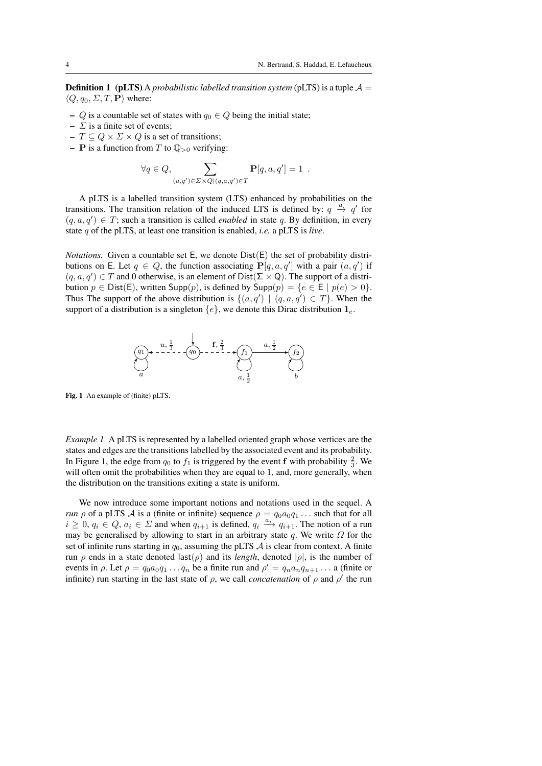**Definition 1** (pLTS) A *probabilistic labelled transition system* (pLTS) is a tuple  $A =$  $\langle Q, q_0, \Sigma, T, \mathbf{P} \rangle$  where:

- Q is a countable set of states with  $q_0 \in Q$  being the initial state;
- $\Sigma$  is a finite set of events;
- $T \subseteq Q \times \Sigma \times Q$  is a set of transitions;
- **P** is a function from T to  $\mathbb{Q}_{>0}$  verifying:

$$
\forall q \in Q, \sum_{(a,q') \in \Sigma \times Q | (q,a,q') \in T} \mathbf{P}[q,a,q'] = 1 .
$$

A pLTS is a labelled transition system (LTS) enhanced by probabilities on the transitions. The transition relation of the induced LTS is defined by:  $q \stackrel{a}{\rightarrow} q'$  for  $(q, a, q') \in T$ ; such a transition is called *enabled* in state q. By definition, in every state q of the pLTS, at least one transition is enabled, *i.e.* a pLTS is *live*.

*Notations.* Given a countable set  $E$ , we denote  $Dist(E)$  the set of probability distributions on E. Let  $q \in Q$ , the function associating  $P[q, a, q']$  with a pair  $(a, q')$  if  $(q, a, q') \in T$  and 0 otherwise, is an element of Dist( $\Sigma \times Q$ ). The support of a distribution  $p \in \text{Dist}(E)$ , written Supp $(p)$ , is defined by Supp $(p) = \{e \in E \mid p(e) > 0\}$ . Thus The support of the above distribution is  $\{(a,q') | (q,a,q') \in T\}$ . When the support of a distribution is a singleton  $\{e\}$ , we denote this Dirac distribution  $\mathbf{1}_e$ .



Fig. 1 An example of (finite) pLTS.

*Example 1* A pLTS is represented by a labelled oriented graph whose vertices are the states and edges are the transitions labelled by the associated event and its probability. In Figure 1, the edge from  $q_0$  to  $f_1$  is triggered by the event f with probability  $\frac{2}{3}$ . We will often omit the probabilities when they are equal to 1, and, more generally, when the distribution on the transitions exiting a state is uniform.

We now introduce some important notions and notations used in the sequel. A *run*  $\rho$  of a pLTS A is a (finite or infinite) sequence  $\rho = q_0 a_0 q_1 \dots$  such that for all  $i \geq 0, q_i \in Q, a_i \in \Sigma$  and when  $q_{i+1}$  is defined,  $q_i \xrightarrow{a_i} q_{i+1}$ . The notion of a run may be generalised by allowing to start in an arbitrary state q. We write  $\Omega$  for the set of infinite runs starting in  $q_0$ , assuming the pLTS  $\mathcal A$  is clear from context. A finite run  $\rho$  ends in a state denoted last( $\rho$ ) and its *length*, denoted  $|\rho|$ , is the number of events in  $\rho$ . Let  $\rho = q_0 a_0 q_1 \dots q_n$  be a finite run and  $\rho' = q_n a_n q_{n+1} \dots$  a (finite or infinite) run starting in the last state of  $\rho$ , we call *concatenation* of  $\rho$  and  $\rho'$  the run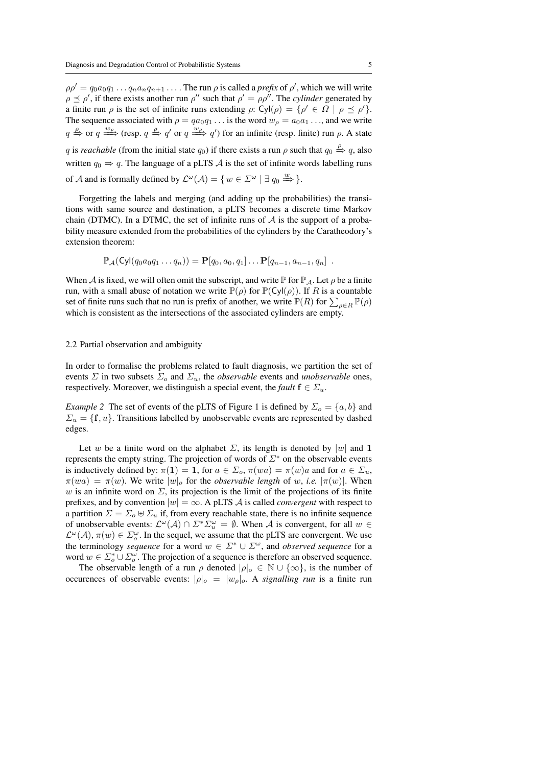$\rho \rho' = q_0 a_0 q_1 \dots q_n a_n q_{n+1} \dots$ . The run  $\rho$  is called a *prefix* of  $\rho'$ , which we will write  $\rho \preceq \rho'$ , if there exists another run  $\rho''$  such that  $\rho' = \rho \rho''$ . The *cylinder* generated by a finite run  $\rho$  is the set of infinite runs extending  $\rho: Cyl(\rho) = {\rho' \in \Omega \mid \rho \preceq \rho' }$ . The sequence associated with  $\rho = qa_0q_1 \dots$  is the word  $w_\rho = a_0a_1 \dots$ , and we write  $q \stackrel{\rho}{\Rightarrow}$  or  $q \stackrel{w_{\rho}}{\Longrightarrow}$  (resp.  $q \stackrel{\rho}{\Rightarrow} q'$  or  $q \stackrel{w_{\rho}}{\Longrightarrow} q'$ ) for an infinite (resp. finite) run  $\rho$ . A state q is *reachable* (from the initial state  $q_0$ ) if there exists a run  $\rho$  such that  $q_0 \stackrel{\rho}{\Rightarrow} q$ , also written  $q_0 \Rightarrow q$ . The language of a pLTS A is the set of infinite words labelling runs of A and is formally defined by  $\mathcal{L}^{\omega}(\mathcal{A}) = \{ w \in \mathcal{Z}^{\omega} \mid \exists q_0 \stackrel{w}{\Longrightarrow} \}.$ 

Forgetting the labels and merging (and adding up the probabilities) the transitions with same source and destination, a pLTS becomes a discrete time Markov chain (DTMC). In a DTMC, the set of infinite runs of  $A$  is the support of a probability measure extended from the probabilities of the cylinders by the Caratheodory's extension theorem:

$$
\mathbb{P}_{\mathcal{A}}(\mathsf{Cyl}(q_0a_0q_1\dots q_n))=\mathbf{P}[q_0,a_0,q_1]\dots\mathbf{P}[q_{n-1},a_{n-1},q_n].
$$

When A is fixed, we will often omit the subscript, and write  $\mathbb P$  for  $\mathbb P_{\mathcal A}$ . Let  $\rho$  be a finite run, with a small abuse of notation we write  $\mathbb{P}(\rho)$  for  $\mathbb{P}(\mathsf{Cyl}(\rho))$ . If R is a countable set of finite runs such that no run is prefix of another, we write  $\mathbb{P}(R)$  for  $\sum_{\rho \in R} \mathbb{P}(\rho)$ which is consistent as the intersections of the associated cylinders are empty.

#### 2.2 Partial observation and ambiguity

In order to formalise the problems related to fault diagnosis, we partition the set of events  $\Sigma$  in two subsets  $\Sigma_o$  and  $\Sigma_u$ , the *observable* events and *unobservable* ones, respectively. Moreover, we distinguish a special event, the *fault*  $f \in \Sigma_u$ .

*Example 2* The set of events of the pLTS of Figure 1 is defined by  $\Sigma_o = \{a, b\}$  and  $\Sigma_u = \{f, u\}$ . Transitions labelled by unobservable events are represented by dashed edges.

Let w be a finite word on the alphabet  $\Sigma$ , its length is denoted by |w| and 1 represents the empty string. The projection of words of  $\Sigma^*$  on the observable events is inductively defined by:  $\pi(1) = 1$ , for  $a \in \Sigma_o$ ,  $\pi(wa) = \pi(w)a$  and for  $a \in \Sigma_u$ ,  $\pi(wa) = \pi(w)$ . We write  $|w|_o$  for the *observable length* of w, *i.e.*  $|\pi(w)|$ . When w is an infinite word on  $\Sigma$ , its projection is the limit of the projections of its finite prefixes, and by convention  $|w| = \infty$ . A pLTS A is called *convergent* with respect to a partition  $\Sigma = \Sigma_0 \oplus \Sigma_u$  if, from every reachable state, there is no infinite sequence of unobservable events:  $\mathcal{L}^{\omega}(\mathcal{A}) \cap \Sigma^* \Sigma_u^{\omega} = \emptyset$ . When A is convergent, for all  $w \in$  $\mathcal{L}^{\omega}(\mathcal{A}), \pi(w) \in \Sigma_o^{\omega}$ . In the sequel, we assume that the pLTS are convergent. We use the terminology *sequence* for a word  $w \in \Sigma^* \cup \Sigma^{\omega}$ , and *observed sequence* for a word  $w \in \Sigma_o^* \cup \Sigma_o^{\omega}$ . The projection of a sequence is therefore an observed sequence.

The observable length of a run  $\rho$  denoted  $|\rho|_o \in \mathbb{N} \cup \{\infty\}$ , is the number of occurences of observable events:  $|\rho|_o = |w_\rho|_o$ . A *signalling run* is a finite run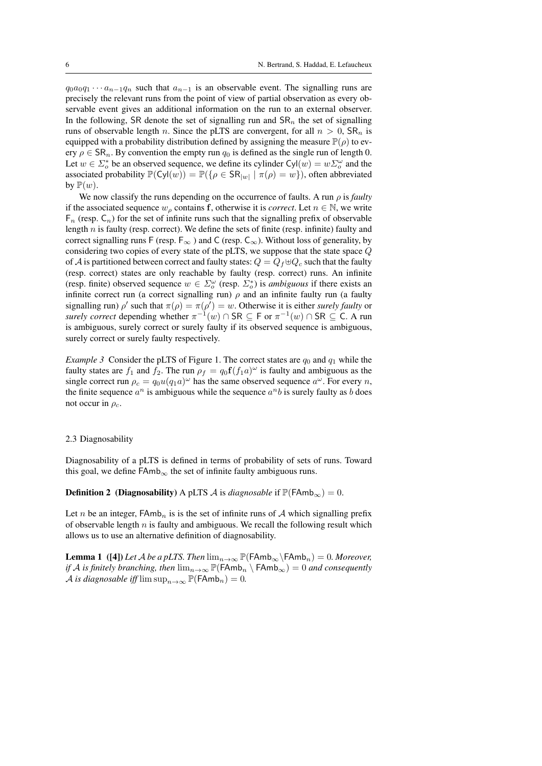$q_0a_0q_1 \cdots a_{n-1}q_n$  such that  $a_{n-1}$  is an observable event. The signalling runs are precisely the relevant runs from the point of view of partial observation as every observable event gives an additional information on the run to an external observer. In the following, SR denote the set of signalling run and  $\text{SR}_n$  the set of signalling runs of observable length n. Since the pLTS are convergent, for all  $n > 0$ , SR<sub>n</sub> is equipped with a probability distribution defined by assigning the measure  $\mathbb{P}(\rho)$  to every  $\rho \in \mathsf{SR}_n$ . By convention the empty run  $q_0$  is defined as the single run of length 0. Let  $w \in \Sigma_o^*$  be an observed sequence, we define its cylinder  $Cyl(w) = w \Sigma_o^{\omega}$  and the associated probability  $\mathbb{P}(\text{Cyl}(w)) = \mathbb{P}(\{\rho \in \text{SR}_{|w|} \mid \pi(\rho) = w\})$ , often abbreviated by  $\mathbb{P}(w)$ .

We now classify the runs depending on the occurrence of faults. A run  $\rho$  is *faulty* if the associated sequence  $w_\rho$  contains f, otherwise it is *correct*. Let  $n \in \mathbb{N}$ , we write  $F_n$  (resp.  $C_n$ ) for the set of infinite runs such that the signalling prefix of observable length  $n$  is faulty (resp. correct). We define the sets of finite (resp. infinite) faulty and correct signalling runs F (resp.  $F_{\infty}$ ) and C (resp.  $C_{\infty}$ ). Without loss of generality, by considering two copies of every state of the pLTS, we suppose that the state space Q of A is partitioned between correct and faulty states:  $Q = Q_f \oplus Q_c$  such that the faulty (resp. correct) states are only reachable by faulty (resp. correct) runs. An infinite (resp. finite) observed sequence  $w \in \Sigma_o^{\omega}$  (resp.  $\Sigma_o^*$ ) is *ambiguous* if there exists an infinite correct run (a correct signalling run)  $\rho$  and an infinite faulty run (a faulty signalling run)  $\rho'$  such that  $\pi(\rho) = \pi(\rho') = w$ . Otherwise it is either *surely faulty* or *surely correct* depending whether  $\pi^{-1}(w) \cap \mathsf{SR} \subseteq \mathsf{F}$  or  $\pi^{-1}(w) \cap \mathsf{SR} \subseteq \mathsf{C}$ . A run is ambiguous, surely correct or surely faulty if its observed sequence is ambiguous, surely correct or surely faulty respectively.

*Example 3* Consider the pLTS of Figure 1. The correct states are  $q_0$  and  $q_1$  while the faulty states are  $f_1$  and  $f_2$ . The run  $\rho_f = q_0 \mathbf{f}(f_1 a)^{\omega}$  is faulty and ambiguous as the single correct run  $\rho_c = q_0 u(q_1 a)^\omega$  has the same observed sequence  $a^\omega$ . For every *n*, the finite sequence  $a^n$  is ambiguous while the sequence  $a^nb$  is surely faulty as b does not occur in  $\rho_c$ .

#### 2.3 Diagnosability

Diagnosability of a pLTS is defined in terms of probability of sets of runs. Toward this goal, we define  $FAmb_{\infty}$  the set of infinite faulty ambiguous runs.

**Definition 2** (Diagnosability) A pLTS A is *diagnosable* if  $\mathbb{P}(\mathsf{FAmb}_{\infty}) = 0$ .

Let n be an integer,  $FAmb_n$  is is the set of infinite runs of A which signalling prefix of observable length  $n$  is faulty and ambiguous. We recall the following result which allows us to use an alternative definition of diagnosability.

**Lemma 1** ([4]) *Let* A *be a pLTS. Then*  $\lim_{n\to\infty} \mathbb{P}(\text{FAmb}_{\infty} \setminus \text{FAmb}_n) = 0$ *. Moreover, if* A *is finitely branching, then*  $\lim_{n\to\infty} \mathbb{P}(\text{FAmb}_n \setminus \text{FAmb}_\infty) = 0$  *and consequently* A *is diagnosable iff*  $\limsup_{n\to\infty} \mathbb{P}(\text{FAmb}_n) = 0$ .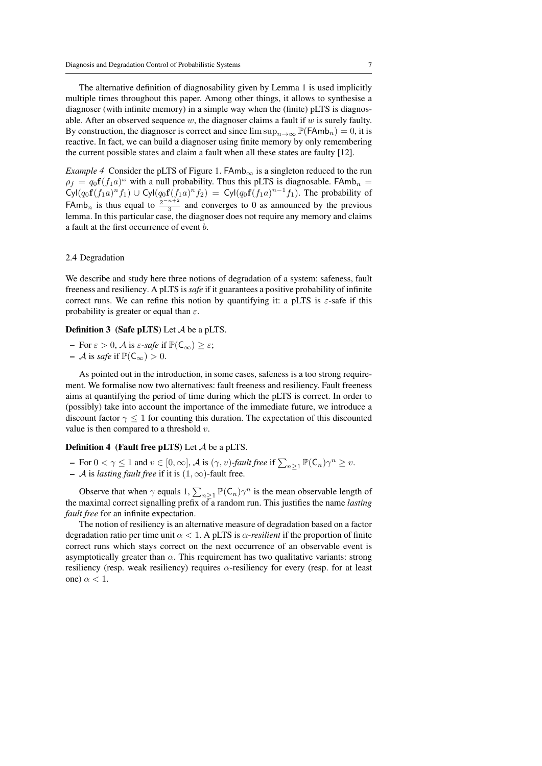The alternative definition of diagnosability given by Lemma 1 is used implicitly multiple times throughout this paper. Among other things, it allows to synthesise a diagnoser (with infinite memory) in a simple way when the (finite) pLTS is diagnosable. After an observed sequence  $w$ , the diagnoser claims a fault if  $w$  is surely faulty. By construction, the diagnoser is correct and since  $\limsup_{n\to\infty} \mathbb{P}(\mathsf{FAmb}_n) = 0$ , it is reactive. In fact, we can build a diagnoser using finite memory by only remembering the current possible states and claim a fault when all these states are faulty [12].

*Example 4* Consider the pLTS of Figure 1. FAmb<sub>∞</sub> is a singleton reduced to the run  $\rho_f = q_0 \mathbf{f}(f_1 a)^\omega$  with a null probability. Thus this pLTS is diagnosable. FAmb<sub>n</sub> =  $\text{Cyl}(q_0 \mathbf{f}(f_1 a)^n f_1) \cup \text{Cyl}(q_0 \mathbf{f}(f_1 a)^n f_2) = \text{Cyl}(q_0 \mathbf{f}(f_1 a)^{n-1} f_1)$ . The probability of FAmb<sub>n</sub> is thus equal to  $\frac{2^{-n+2}}{3}$  $\frac{3}{3}$  and converges to 0 as announced by the previous lemma. In this particular case, the diagnoser does not require any memory and claims a fault at the first occurrence of event b.

#### 2.4 Degradation

We describe and study here three notions of degradation of a system: safeness, fault freeness and resiliency. A pLTS is*safe* if it guarantees a positive probability of infinite correct runs. We can refine this notion by quantifying it: a pLTS is  $\varepsilon$ -safe if this probability is greater or equal than  $\varepsilon$ .

#### Definition 3 (Safe pLTS) Let A be a pLTS.

 $-$  For  $\varepsilon > 0$ , A is  $\varepsilon$ -safe if  $\mathbb{P}(\mathsf{C}_{\infty}) > \varepsilon$ ;  $-$  *A* is *safe* if  $\mathbb{P}(\mathsf{C}_{\infty}) > 0$ .

As pointed out in the introduction, in some cases, safeness is a too strong requirement. We formalise now two alternatives: fault freeness and resiliency. Fault freeness aims at quantifying the period of time during which the pLTS is correct. In order to (possibly) take into account the importance of the immediate future, we introduce a discount factor  $\gamma \leq 1$  for counting this duration. The expectation of this discounted value is then compared to a threshold  $v$ .

#### **Definition 4** (Fault free pLTS) Let  $A$  be a pLTS.

- $-$  For  $0 < \gamma \leq 1$  and  $v \in [0, \infty]$ ,  $\mathcal A$  is  $(\gamma, v)$ -fault free if  $\sum_{n \geq 1} \mathbb P(\mathsf{C}_n) \gamma^n \geq v$ .
- A is *lasting fault free* if it is (1, ∞)-fault free.

Observe that when  $\gamma$  equals 1,  $\sum_{n\geq 1} \mathbb{P}(\mathsf{C}_n) \gamma^n$  is the mean observable length of the maximal correct signalling prefix of a random run. This justifies the name *lasting fault free* for an infinite expectation.

The notion of resiliency is an alternative measure of degradation based on a factor degradation ratio per time unit  $\alpha < 1$ . A pLTS is  $\alpha$ -resilient if the proportion of finite correct runs which stays correct on the next occurrence of an observable event is asymptotically greater than  $\alpha$ . This requirement has two qualitative variants: strong resiliency (resp. weak resiliency) requires  $\alpha$ -resiliency for every (resp. for at least one)  $\alpha$  < 1.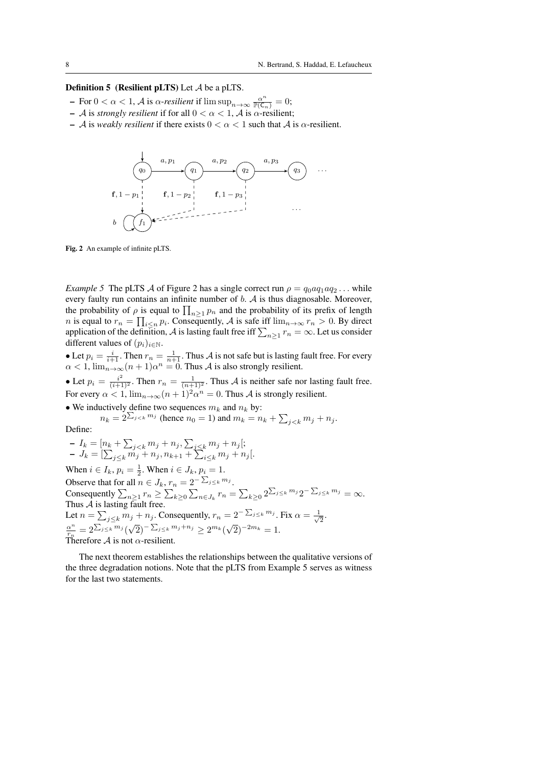## **Definition 5** (Resilient pLTS) Let  $A$  be a pLTS.

- $-$  For 0 < α < 1, *A* is α-*resilient* if  $\limsup_{n\to\infty} \frac{\alpha^n}{\mathbb{P}(\mathsf{C}_n)} = 0;$
- A is *strongly resilient* if for all  $0 < \alpha < 1$ , A is  $\alpha$ -resilient;
- A is *weakly resilient* if there exists  $0 < \alpha < 1$  such that A is  $\alpha$ -resilient.



Fig. 2 An example of infinite pLTS.

*Example 5* The pLTS A of Figure 2 has a single correct run  $\rho = q_0 a q_1 a q_2 \dots$  while every faulty run contains an infinite number of  $b$ .  $A$  is thus diagnosable. Moreover, the probability of  $\rho$  is equal to  $\prod_{n\geq 1} p_n$  and the probability of its prefix of length *n* is equal to  $r_n = \prod_{i \le n} p_i$ . Consequently, A is safe iff  $\lim_{n \to \infty} r_n > 0$ . By direct application of the definition, A is lasting fault free iff  $\sum_{n\geq 1} r_n = \infty$ . Let us consider different values of  $(p_i)_{i \in \mathbb{N}}$ .

• Let  $p_i = \frac{i}{i+1}$ . Then  $r_n = \frac{1}{n+1}$ . Thus A is not safe but is lasting fault free. For every  $\alpha < 1$ ,  $\lim_{n \to \infty} (n + 1)\alpha^n = 0$ . Thus A is also strongly resilient.

• Let  $p_i = \frac{i^2}{(i+1)^2}$ . Then  $r_n = \frac{1}{(n+1)^2}$ . Thus A is neither safe nor lasting fault free. For every  $\alpha < 1$ ,  $\lim_{n \to \infty} (n+1)^2 \alpha^n = 0$ . Thus A is strongly resilient.

• We inductively define two sequences  $m_k$  and  $n_k$  by:

 $n_k = 2^{\sum_{j < k} m_j}$  (hence  $n_0 = 1$ ) and  $m_k = n_k + \sum_{j < k} m_j + n_j$ . Define:

 $-I_k = [n_k + \sum_{j < k} m_j + n_j, \sum_{j \leq k} m_j + n_j];$  $-J_k = [\sum_{j \leq k} m_j + n_j, n_{k+1} + \sum_{i \leq k} m_j + n_j].$ When  $i \in I_k$ ,  $p_i = \frac{1}{2}$ . When  $i \in J_k$ ,  $p_i = 1$ . Observe that for all  $n \in J_k$ ,  $r_n = 2^{-\sum_{j \leq k} m_j}$ . Consequently  $\sum_{n\geq 1} r_n \geq \sum_{k\geq 0} \sum_{n\in J_k} r_n = \sum_{k\geq 0} 2^{\sum_{j\leq k} m_j} 2^{-\sum_{j\leq k} m_j} = \infty$ . Thus  $A$  is lasting fault free. Let  $n = \sum_{j \leq k} m_j + n_j$ . Consequently,  $r_n = 2^{-\sum_{j \leq k} m_j}$ . Fix  $\alpha = \frac{1}{\sqrt{k}}$  $\frac{1}{2}$ .  $\alpha^n$  $\frac{\alpha^n}{r_n} = 2^{\sum_{j\leq k} m_j}$  $\sqrt{2}$ )<sup>-</sup> $\sum_{j\leq k}$   $m_j+n_j \geq 2^{m_k} (\sqrt{2})^{-2m_k} = 1.$ Therefore  $\mathcal A$  is not  $\alpha$ -resilient.

The next theorem establishes the relationships between the qualitative versions of the three degradation notions. Note that the pLTS from Example 5 serves as witness for the last two statements.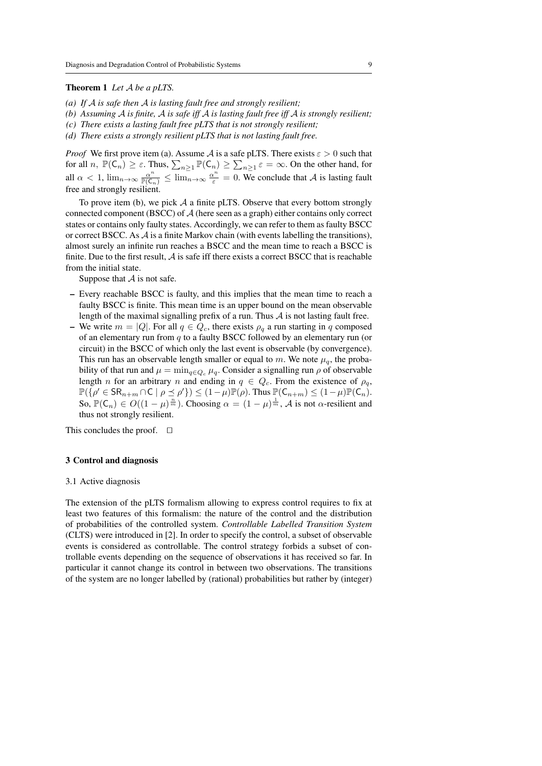#### Theorem 1 *Let* A *be a pLTS.*

- *(a) If* A *is safe then* A *is lasting fault free and strongly resilient;*
- *(b) Assuming* A *is finite,* A *is safe iff* A *is lasting fault free iff* A *is strongly resilient;*
- *(c) There exists a lasting fault free pLTS that is not strongly resilient;*
- *(d) There exists a strongly resilient pLTS that is not lasting fault free.*

*Proof* We first prove item (a). Assume A is a safe pLTS. There exists  $\varepsilon > 0$  such that for all  $n, \mathbb{P}(\overline{C_n}) \ge \varepsilon$ . Thus,  $\sum_{n\ge1} \mathbb{P}(C_n) \ge \sum_{n\ge1} \varepsilon = \infty$ . On the other hand, for all  $\alpha < 1$ ,  $\lim_{n \to \infty} \frac{\alpha^n}{\mathbb{P}(\mathsf{C}_n)} \le \lim_{n \to \infty} \frac{\alpha^n}{\varepsilon} = 0$ . We conclude that A is lasting fault free and strongly resilient.

To prove item (b), we pick  $A$  a finite pLTS. Observe that every bottom strongly connected component (BSCC) of A (here seen as a graph) either contains only correct states or contains only faulty states. Accordingly, we can refer to them as faulty BSCC or correct BSCC. As  $\mathcal A$  is a finite Markov chain (with events labelling the transitions), almost surely an infinite run reaches a BSCC and the mean time to reach a BSCC is finite. Due to the first result,  $\vec{A}$  is safe iff there exists a correct BSCC that is reachable from the initial state.

Suppose that  $A$  is not safe.

- Every reachable BSCC is faulty, and this implies that the mean time to reach a faulty BSCC is finite. This mean time is an upper bound on the mean observable length of the maximal signalling prefix of a run. Thus  $A$  is not lasting fault free.
- We write  $m = |Q|$ . For all  $q \in Q_c$ , there exists  $\rho_q$  a run starting in q composed of an elementary run from  $q$  to a faulty BSCC followed by an elementary run (or circuit) in the BSCC of which only the last event is observable (by convergence). This run has an observable length smaller or equal to m. We note  $\mu_a$ , the probability of that run and  $\mu = \min_{q \in Q_c} \mu_q$ . Consider a signalling run  $\rho$  of observable length n for an arbitrary n and ending in  $q \in Q_c$ . From the existence of  $\rho_q$ ,  $\mathbb{P}(\{\rho'\in \mathsf{SR}_{n+m}\cap \mathsf{C} \mid \rho\preceq \rho'\}) \leq (1-\mu)\mathbb{P}(\rho).$  Thus  $\mathbb{P}(\mathsf{C}_{n+m})\leq (1-\mu)\mathbb{P}(\mathsf{C}_n).$ So,  $\mathbb{P}(\mathsf{C}_n) \in O((1-\mu)^{\frac{n}{m}})$ . Choosing  $\alpha = (1-\mu)^{\frac{1}{m}}$ , A is not  $\alpha$ -resilient and thus not strongly resilient.

This concludes the proof.  $\Box$ 

#### 3 Control and diagnosis

#### 3.1 Active diagnosis

The extension of the pLTS formalism allowing to express control requires to fix at least two features of this formalism: the nature of the control and the distribution of probabilities of the controlled system. *Controllable Labelled Transition System* (CLTS) were introduced in [2]. In order to specify the control, a subset of observable events is considered as controllable. The control strategy forbids a subset of controllable events depending on the sequence of observations it has received so far. In particular it cannot change its control in between two observations. The transitions of the system are no longer labelled by (rational) probabilities but rather by (integer)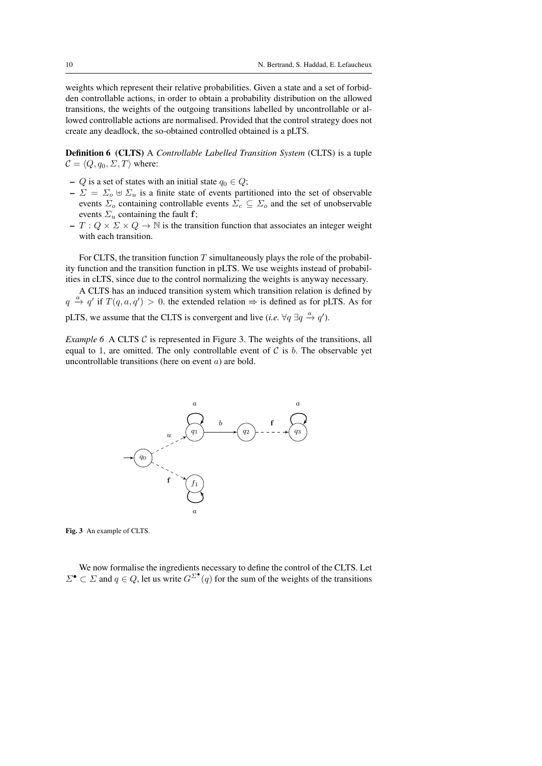weights which represent their relative probabilities. Given a state and a set of forbidden controllable actions, in order to obtain a probability distribution on the allowed transitions, the weights of the outgoing transitions labelled by uncontrollable or allowed controllable actions are normalised. Provided that the control strategy does not create any deadlock, the so-obtained controlled obtained is a pLTS.

Definition 6 (CLTS) A *Controllable Labelled Transition System* (CLTS) is a tuple  $C = \langle Q, q_0, \Sigma, T \rangle$  where:

- Q is a set of states with an initial state  $q_0 \in Q$ ;
- $\Sigma = \Sigma_0 \oplus \Sigma_u$  is a finite state of events partitioned into the set of observable events  $\Sigma_o$  containing controllable events  $\Sigma_c \subseteq \Sigma_o$  and the set of unobservable events  $\Sigma_u$  containing the fault f;
- $T: Q \times \Sigma \times Q \rightarrow \mathbb{N}$  is the transition function that associates an integer weight with each transition.

For CLTS, the transition function  $T$  simultaneously plays the role of the probability function and the transition function in pLTS. We use weights instead of probabilities in cLTS, since due to the control normalizing the weights is anyway necessary.

A CLTS has an induced transition system which transition relation is defined by  $q \stackrel{a}{\rightarrow} q'$  if  $T(q, a, q') > 0$ . the extended relation  $\Rightarrow$  is defined as for pLTS. As for

pLTS, we assume that the CLTS is convergent and live (*i.e.*  $\forall q \exists q \stackrel{a}{\rightarrow} q'$ ).

*Example 6* A CLTS  $\mathcal C$  is represented in Figure 3. The weights of the transitions, all equal to 1, are omitted. The only controllable event of  $C$  is  $b$ . The observable yet uncontrollable transitions (here on event a) are bold.



Fig. 3 An example of CLTS.

We now formalise the ingredients necessary to define the control of the CLTS. Let  $\Sigma^{\bullet} \subset \Sigma$  and  $q \in Q$ , let us write  $G^{\Sigma^{\bullet}}(q)$  for the sum of the weights of the transitions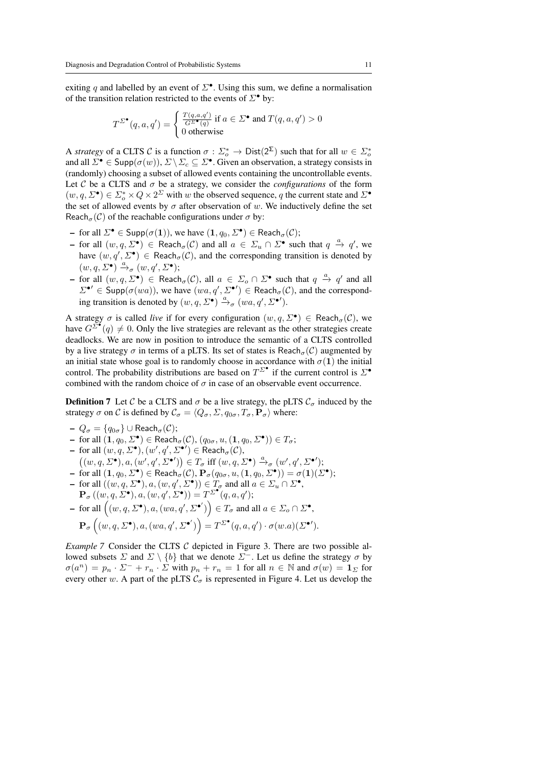exiting q and labelled by an event of  $\Sigma^{\bullet}$ . Using this sum, we define a normalisation of the transition relation restricted to the events of  $\Sigma^{\bullet}$  by:

$$
T^{\Sigma^{\bullet}}(q, a, q') = \begin{cases} \frac{T(q, a, q')}{G^{\Sigma^{\bullet}}(q)} \text{ if } a \in \Sigma^{\bullet} \text{ and } T(q, a, q') > 0\\ 0 \text{ otherwise} \end{cases}
$$

A *strategy* of a CLTS C is a function  $\sigma : \Sigma_o^* \to \text{Dist}(2^{\Sigma})$  such that for all  $w \in \Sigma_o^*$ and all  $\mathcal{D}^{\bullet} \in \mathsf{Supp}(\sigma(w)), \mathcal{L} \setminus \mathcal{L}_c \subseteq \mathcal{L}^{\bullet}$ . Given an observation, a strategy consists in (randomly) choosing a subset of allowed events containing the uncontrollable events. Let C be a CLTS and  $\sigma$  be a strategy, we consider the *configurations* of the form  $(w, q, \Sigma^{\bullet}) \in \Sigma_o^* \times Q \times 2^{\Sigma}$  with w the observed sequence, q the current state and  $\Sigma^{\bullet}$ the set of allowed events by  $\sigma$  after observation of w. We inductively define the set Reach<sub> $\sigma$ </sub>(C) of the reachable configurations under  $\sigma$  by:

- for all  $\Sigma^{\bullet} \in \mathsf{Supp}(\sigma(\mathbf{1})),$  we have  $(\mathbf{1}, q_0, \Sigma^{\bullet}) \in \mathsf{Reach}_{\sigma}(\mathcal{C});$
- $\text{-}$  for all  $(w, q, \Sigma^{\bullet})$  ∈ Reach<sub>σ</sub>(*C*) and all  $a \in \Sigma_u \cap \Sigma^{\bullet}$  such that  $q \stackrel{a}{\rightarrow} q'$ , we have  $(w, q', \Sigma^{\bullet}) \in \text{Reach}_{\sigma}(\mathcal{C})$ , and the corresponding transition is denoted by  $(w, q, \Sigma^{\bullet}) \xrightarrow{a} (w, q', \Sigma^{\bullet});$
- $-$  for all  $(w, q, \Sigma^{\bullet})$  ∈ Reach<sub>σ</sub>(*C*), all  $a \in \Sigma_o \cap \Sigma^{\bullet}$  such that  $q \stackrel{a}{\to} q'$  and all  $\Sigma^{\bullet}{}' \in \text{Supp}(\sigma(wa))$ , we have  $(wa, q', \Sigma^{\bullet}) \in \text{Reach}_{\sigma}(\mathcal{C})$ , and the corresponding transition is denoted by  $(w, q, \Sigma^{\bullet}) \stackrel{a}{\rightarrow}_{\sigma} (wa, q', \Sigma^{\bullet})$ .

A strategy  $\sigma$  is called *live* if for every configuration  $(w, q, \Sigma^{\bullet}) \in \text{Reach}_{\sigma}(\mathcal{C})$ , we have  $G^{\Sigma^{\bullet}}(q) \neq 0$ . Only the live strategies are relevant as the other strategies create deadlocks. We are now in position to introduce the semantic of a CLTS controlled by a live strategy  $\sigma$  in terms of a pLTS. Its set of states is Reach<sub> $\sigma$ </sub>(C) augmented by an initial state whose goal is to randomly choose in accordance with  $\sigma(1)$  the initial control. The probability distributions are based on  $T^{\Sigma^{\bullet}}$  if the current control is  $\Sigma^{\bullet}$ combined with the random choice of  $\sigma$  in case of an observable event occurrence.

**Definition 7** Let C be a CLTS and  $\sigma$  be a live strategy, the pLTS  $C_{\sigma}$  induced by the strategy  $\sigma$  on C is defined by  $\mathcal{C}_{\sigma} = \langle Q_{\sigma}, \Sigma, q_{0\sigma}, T_{\sigma}, \mathbf{P}_{\sigma} \rangle$  where:

- $-Q_{\sigma} = \{q_{0\sigma}\}\cup \text{Reach}_{\sigma}(\mathcal{C});$
- for all  $(\mathbf{1}, q_0, \Sigma^{\bullet}) \in \text{Reach}_{\sigma}(\mathcal{C}), (q_{0\sigma}, u, (\mathbf{1}, q_0, \Sigma^{\bullet})) \in T_{\sigma};$
- $-$  for all  $(w, q, Σ<sup>•</sup>), (w', q', Σ<sup>•</sup>) ∈$  Reach<sub>σ</sub> $(C)$ ,  $((w, q, \Sigma^{\bullet}), a, (w', q', \Sigma^{\bullet'})) \in T_{\sigma} \text{ iff } (w, q, \Sigma^{\bullet}) \xrightarrow{a}_{\sigma} (w', q', \Sigma^{\bullet'});$
- $\textsf{--}~\text{ for all }(\mathbf{1},q_0,\varSigma^\bullet)\in \textsf{Reach}_\sigma(\mathcal{C}), \mathbf{P}_\sigma(q_{0\sigma},u,(\mathbf{1},q_0,\varSigma^\bullet))=\sigma(\mathbf{1})(\varSigma^\bullet);$
- for all  $((w, q, \Sigma^{\bullet}), a, (w, q', \Sigma^{\bullet})) \in T_{\sigma}$  and all  $a \in \Sigma_u \cap \Sigma^{\bullet}$ ,  $\mathbf{P}_{\sigma}\left((w,q,\Sigma^{\bullet}),a,(w,q',\Sigma^{\bullet})\right)=T^{\Sigma^{\bullet}}(q,a,q');$
- for all  $((w, q, \Sigma^{\bullet}), a, (wa, q', \Sigma^{\bullet'})) \in T_{\sigma}$  and all  $a \in \Sigma_o \cap \Sigma^{\bullet}$ ,

$$
\mathbf{P}_{\sigma}\left((w,q,\varSigma^{\bullet}),a,(wa,q',\varSigma^{\bullet'})\right)=T^{\varSigma^{\bullet}}(q,a,q')\cdot \sigma(w.a)(\varSigma^{\bullet'}).
$$

*Example 7* Consider the CLTS C depicted in Figure 3. There are two possible allowed subsets  $\Sigma$  and  $\Sigma \setminus \{b\}$  that we denote  $\Sigma^-$ . Let us define the strategy  $\sigma$  by  $\sigma(a^n) = p_n \cdot \Sigma^- + r_n \cdot \Sigma$  with  $p_n + r_n = 1$  for all  $n \in \mathbb{N}$  and  $\sigma(w) = 1_{\Sigma}$  for every other w. A part of the pLTS  $C_{\sigma}$  is represented in Figure 4. Let us develop the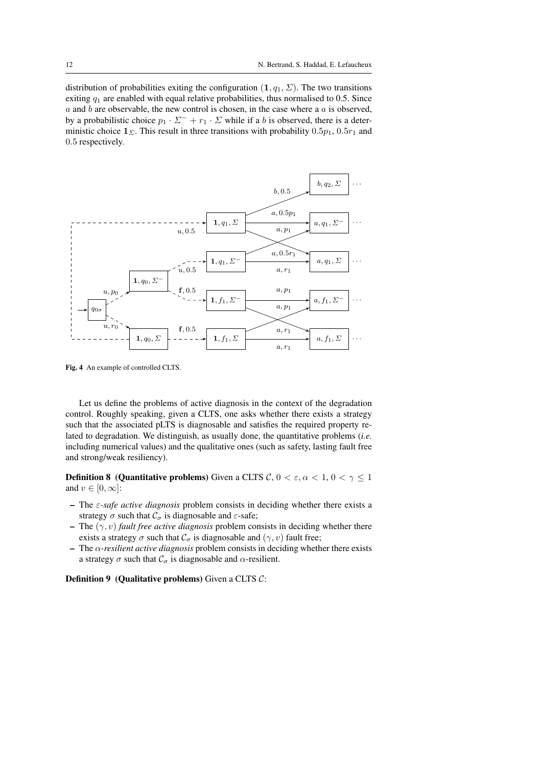distribution of probabilities exiting the configuration  $(1, q_1, \Sigma)$ . The two transitions exiting  $q_1$  are enabled with equal relative probabilities, thus normalised to 0.5. Since  $a$  and  $b$  are observable, the new control is chosen, in the case where a  $a$  is observed, by a probabilistic choice  $p_1 \cdot \Sigma^- + r_1 \cdot \Sigma$  while if a b is observed, there is a deterministic choice  $\mathbf{1}_{\Sigma}$ . This result in three transitions with probability  $0.5p_1$ ,  $0.5r_1$  and 0.5 respectively.



Fig. 4 An example of controlled CLTS.

Let us define the problems of active diagnosis in the context of the degradation control. Roughly speaking, given a CLTS, one asks whether there exists a strategy such that the associated pLTS is diagnosable and satisfies the required property related to degradation. We distinguish, as usually done, the quantitative problems (*i.e.* including numerical values) and the qualitative ones (such as safety, lasting fault free and strong/weak resiliency).

**Definition 8 (Quantitative problems)** Given a CLTS  $C, 0 < \varepsilon, \alpha < 1, 0 < \gamma \leq 1$ and  $v \in [0, \infty]$ :

- $\overline{\phantom{a}}$  The *ε*-*safe active diagnosis* problem consists in deciding whether there exists a strategy  $\sigma$  such that  $\mathcal{C}_{\sigma}$  is diagnosable and  $\varepsilon$ -safe;
- The  $(\gamma, v)$  *fault free active diagnosis* problem consists in deciding whether there exists a strategy  $\sigma$  such that  $\mathcal{C}_{\sigma}$  is diagnosable and  $(\gamma, v)$  fault free;
- $-$  The  $\alpha$ -resilient active diagnosis problem consists in deciding whether there exists a strategy  $\sigma$  such that  $\mathcal{C}_{\sigma}$  is diagnosable and  $\alpha$ -resilient.

**Definition 9** (Qualitative problems) Given a CLTS  $C$ :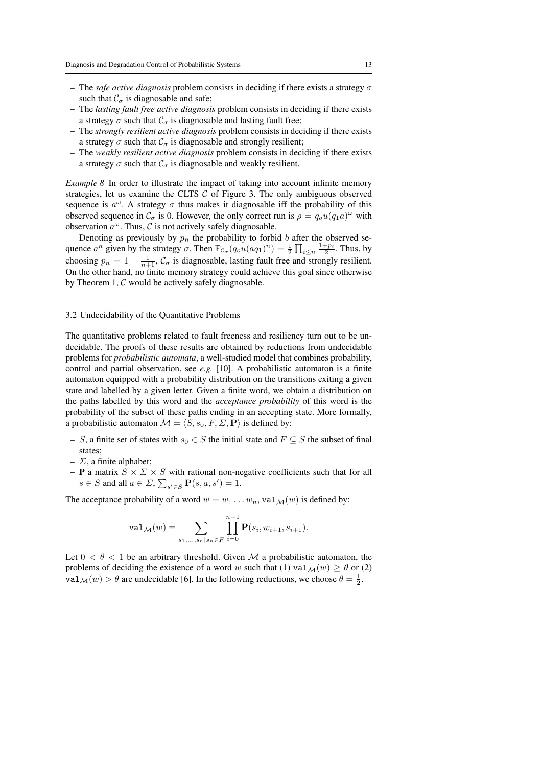- The *safe active diagnosis* problem consists in deciding if there exists a strategy  $\sigma$ such that  $\mathcal{C}_{\sigma}$  is diagnosable and safe;
- The *lasting fault free active diagnosis* problem consists in deciding if there exists a strategy  $\sigma$  such that  $\mathcal{C}_{\sigma}$  is diagnosable and lasting fault free;
- The *strongly resilient active diagnosis* problem consists in deciding if there exists a strategy  $\sigma$  such that  $\mathcal{C}_{\sigma}$  is diagnosable and strongly resilient;
- The *weakly resilient active diagnosis* problem consists in deciding if there exists a strategy  $\sigma$  such that  $\mathcal{C}_{\sigma}$  is diagnosable and weakly resilient.

*Example 8* In order to illustrate the impact of taking into account infinite memory strategies, let us examine the CLTS  $C$  of Figure 3. The only ambiguous observed sequence is  $a^{\omega}$ . A strategy  $\sigma$  thus makes it diagnosable iff the probability of this observed sequence in  $\mathcal{C}_{\sigma}$  is 0. However, the only correct run is  $\rho = q_{o} u(q_1 a)^{\omega}$  with observation  $a^{\omega}$ . Thus, C is not actively safely diagnosable.

Denoting as previously by  $p_n$  the probability to forbid b after the observed sequence  $a^n$  given by the strategy  $\sigma$ . Then  $\mathbb{P}_{\mathcal{C}_{\sigma}}(q_ou(aq_1)^n) = \frac{1}{2} \prod_{i \leq n} \frac{1+p_i}{2}$ . Thus, by choosing  $p_n = 1 - \frac{1}{n+1}$ ,  $C_{\sigma}$  is diagnosable, lasting fault free and strongly resilient. On the other hand, no finite memory strategy could achieve this goal since otherwise by Theorem 1,  $C$  would be actively safely diagnosable.

#### 3.2 Undecidability of the Quantitative Problems

The quantitative problems related to fault freeness and resiliency turn out to be undecidable. The proofs of these results are obtained by reductions from undecidable problems for *probabilistic automata*, a well-studied model that combines probability, control and partial observation, see *e.g.* [10]. A probabilistic automaton is a finite automaton equipped with a probability distribution on the transitions exiting a given state and labelled by a given letter. Given a finite word, we obtain a distribution on the paths labelled by this word and the *acceptance probability* of this word is the probability of the subset of these paths ending in an accepting state. More formally, a probabilistic automaton  $\mathcal{M} = \langle S, s_0, F, \Sigma, \mathbf{P} \rangle$  is defined by:

- S, a finite set of states with  $s_0 \in S$  the initial state and  $F \subseteq S$  the subset of final states;
- $\overline{-}$   $\Sigma$ , a finite alphabet;
- **P** a matrix  $S \times \Sigma \times S$  with rational non-negative coefficients such that for all  $s \in S$  and all  $a \in \Sigma$ ,  $\sum_{s' \in S} \mathbf{P}(s, a, s') = 1$ .

The acceptance probability of a word  $w = w_1 \dots w_n$ ,  $\text{val}_{\mathcal{M}}(w)$  is defined by:

$$
\text{val}_{\mathcal{M}}(w) = \sum_{s_1, \dots, s_n \mid s_n \in F} \prod_{i=0}^{n-1} \mathbf{P}(s_i, w_{i+1}, s_{i+1}).
$$

Let  $0 < \theta < 1$  be an arbitrary threshold. Given M a probabilistic automaton, the problems of deciding the existence of a word w such that (1)  $\text{val}_{\mathcal{M}}(w) \geq \theta$  or (2) val  $\mathcal{M}(w) > \theta$  are undecidable [6]. In the following reductions, we choose  $\theta = \frac{1}{2}$ .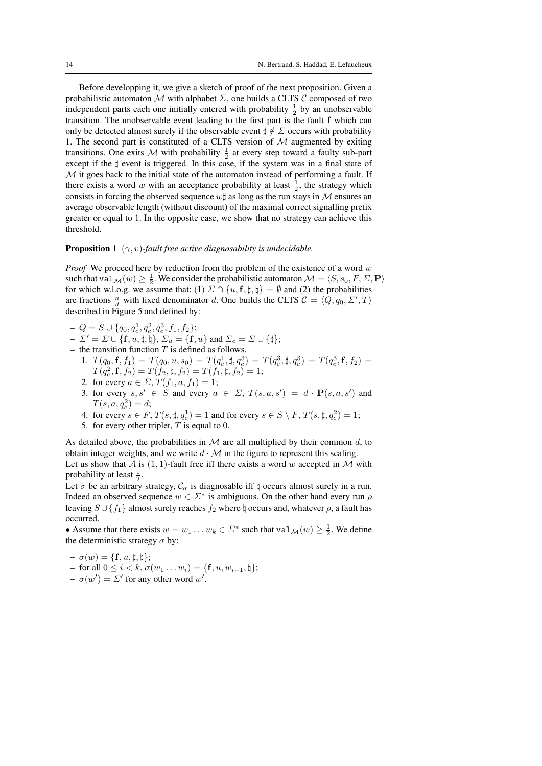Before developping it, we give a sketch of proof of the next proposition. Given a probabilistic automaton  $M$  with alphabet  $\Sigma$ , one builds a CLTS C composed of two independent parts each one initially entered with probability  $\frac{1}{2}$  by an unobservable transition. The unobservable event leading to the first part is the fault f which can only be detected almost surely if the observable event  $\sharp \notin \Sigma$  occurs with probability 1. The second part is constituted of a CLTS version of  $M$  augmented by exiting transitions. One exits M with probability  $\frac{1}{2}$  at every step toward a faulty sub-part except if the  $\sharp$  event is triggered. In this case, if the system was in a final state of M it goes back to the initial state of the automaton instead of performing a fault. If there exists a word w with an acceptance probability at least  $\frac{1}{2}$ , the strategy which consists in forcing the observed sequence  $w\sharp$  as long as the run stays in M ensures an average observable length (without discount) of the maximal correct signalling prefix greater or equal to 1. In the opposite case, we show that no strategy can achieve this threshold.

#### **Proposition 1** ( $\gamma$ , *v*)-fault free active diagnosability is undecidable.

*Proof* We proceed here by reduction from the problem of the existence of a word w such that val  $\mathcal{M}(w) \geq \frac{1}{2}$ . We consider the probabilistic automaton  $\mathcal{M} = \langle S, s_0, F, \Sigma, \mathbf{P} \rangle$ for which w.l.o.g. we assume that: (1)  $\Sigma \cap \{u, f, \sharp, \sharp\} = \emptyset$  and (2) the probabilities are fractions  $\frac{n}{d}$  with fixed denominator d. One builds the CLTS  $C = \langle Q, q_0, \Sigma', T \rangle$ described in Figure 5 and defined by:

- $-Q = S \cup \{q_0, q_c^1, q_c^2, q_c^3, f_1, f_2\};$
- $-\Sigma' = \Sigma \cup \{f, u, \sharp, \natural\}, \, \Sigma_u = \{f, u\}$  and  $\Sigma_c = \Sigma \cup \{\sharp\};$
- the transition function  $T$  is defined as follows.
- 1.  $T(q_0, \mathbf{f}, f_1) = T(q_0, u, s_0) = T(q_c^1, \sharp, q_c^3) = T(q_c^3, \sharp, q_c^3) = T(q_c^3, \mathbf{f}, f_2) =$  $T(q_c^2, \mathbf{f}, f_2) = T(f_2, \natural, f_2) = T(f_1, \sharp, f_2) = 1;$ 
	- 2. for every  $a \in \Sigma$ ,  $T(f_1, a, f_1) = 1$ ;
	- 3. for every  $s, s' \in S$  and every  $a \in \Sigma$ ,  $T(s, a, s') = d \cdot P(s, a, s')$  and  $T(s, a, q_c^2) = d;$
	- 4. for every  $s \in F$ ,  $T(s, \sharp, q_c^1) = 1$  and for every  $s \in S \setminus F$ ,  $T(s, \sharp, q_c^2) = 1$ ;
	- 5. for every other triplet,  $T$  is equal to 0.

As detailed above, the probabilities in  $M$  are all multiplied by their common  $d$ , to obtain integer weights, and we write  $d \cdot M$  in the figure to represent this scaling.

Let us show that A is  $(1, 1)$ -fault free iff there exists a word w accepted in M with probability at least  $\frac{1}{2}$ .

Let  $\sigma$  be an arbitrary strategy,  $\mathcal{C}_{\sigma}$  is diagnosable iff  $\natural$  occurs almost surely in a run. Indeed an observed sequence  $w \in \Sigma^*$  is ambiguous. On the other hand every run  $\rho$ leaving  $S \cup \{f_1\}$  almost surely reaches  $f_2$  where  $\natural$  occurs and, whatever  $\rho$ , a fault has occurred.

• Assume that there exists  $w = w_1 \dots w_k \in \Sigma^*$  such that  $\text{val}_{\mathcal{M}}(w) \geq \frac{1}{2}$ . We define the deterministic strategy  $\sigma$  by:

 $-\sigma(w) = {\mathbf{f}, u, \sharp, \natural};$  $-$  for all  $0 \le i \le k$ ,  $\sigma(w_1 \dots w_i) = \{ \mathbf{f}, u, w_{i+1}, \mathbf{t} \};$  $- \sigma(w') = \Sigma'$  for any other word w'.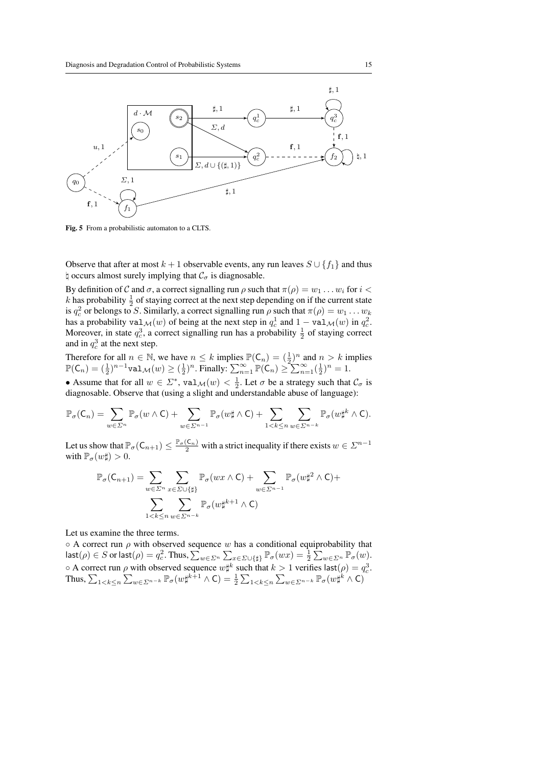

Fig. 5 From a probabilistic automaton to a CLTS.

Observe that after at most  $k + 1$  observable events, any run leaves  $S \cup \{f_1\}$  and thus  $\natural$  occurs almost surely implying that  $\mathcal{C}_{\sigma}$  is diagnosable.

By definition of C and  $\sigma$ , a correct signalling run  $\rho$  such that  $\pi(\rho) = w_1 \dots w_i$  for  $i <$ k has probability  $\frac{1}{2}$  of staying correct at the next step depending on if the current state is  $q_c^2$  or belongs to S. Similarly, a correct signalling run  $\rho$  such that  $\pi(\rho) = w_1 \dots w_k$ has a probability val $\mathcal{M}(w)$  of being at the next step in  $q_c^1$  and  $1 - \text{val}_{\mathcal{M}}(w)$  in  $q_c^2$ . Moreover, in state  $q_c^3$ , a correct signalling run has a probability  $\frac{1}{2}$  of staying correct and in  $q_c^3$  at the next step.

Therefore for all  $n \in \mathbb{N}$ , we have  $n \leq k$  implies  $\mathbb{P}(\mathsf{C}_n) = (\frac{1}{2})^n$  and  $n > k$  implies  $\mathbb{P}(\mathsf{C}_n) = (\frac{1}{2})^{n-1} \text{val}_{\mathcal{M}}(w) \geq (\frac{1}{2})^n$ . Finally:  $\sum_{n=1}^{\infty} \mathbb{P}(\mathsf{C}_n) \geq \sum_{n=1}^{\infty} (\frac{1}{2})^n = 1$ .

• Assume that for all  $w \in \Sigma^*$ ,  $\text{val}_{\mathcal{M}}(w) < \frac{1}{2}$ . Let  $\sigma$  be a strategy such that  $\mathcal{C}_{\sigma}$  is diagnosable. Observe that (using a slight and understandable abuse of language):

$$
\mathbb{P}_{\sigma}(C_n) = \sum_{w \in \Sigma^n} \mathbb{P}_{\sigma}(w \wedge C) + \sum_{w \in \Sigma^{n-1}} \mathbb{P}_{\sigma}(w \sharp \wedge C) + \sum_{1 < k \leq n} \sum_{w \in \Sigma^{n-k}} \mathbb{P}_{\sigma}(w \sharp^k \wedge C).
$$

Let us show that  $\mathbb{P}_{\sigma}(\mathsf{C}_{n+1}) \leq \frac{\mathbb{P}_{\sigma}(\mathsf{C}_n)}{2}$  with a strict inequality if there exists  $w \in \mathbb{Z}^{n-1}$ with  $\mathbb{P}_{\sigma}(w\sharp) > 0$ .

$$
\mathbb{P}_{\sigma}(C_{n+1}) = \sum_{w \in \Sigma^n} \sum_{x \in \Sigma \cup \{\sharp\}} \mathbb{P}_{\sigma}(wx \wedge C) + \sum_{w \in \Sigma^{n-1}} \mathbb{P}_{\sigma}(w\sharp^2 \wedge C) + \sum_{1 < k \le n} \sum_{w \in \Sigma^{n-k}} \mathbb{P}_{\sigma}(w\sharp^{k+1} \wedge C)
$$

Let us examine the three terms.

 $\circ$  A correct run  $\rho$  with observed sequence w has a conditional equiprobability that  $\mathsf{last}(\rho) \in S$  or  $\mathsf{last}(\rho) = q_c^2$ . Thus,  $\sum_{w \in \Sigma^n} \sum_{x \in \Sigma \cup \{\sharp\}} \mathbb{P}_{\sigma}(wx) = \frac{1}{2} \sum_{w \in \Sigma^n} \mathbb{P}_{\sigma}(w)$ .  $\circ$  A correct run  $\rho$  with observed sequence  $w\sharp^k$  such that  $k > 1$  verifies last $(\rho) = q_c^3$ . Thus,  $\sum_{1 \leq k \leq n} \sum_{w \in \Sigma^{n-k}} \mathbb{P}_{\sigma}(w \sharp^{k+1} \wedge \mathsf{C}) = \frac{1}{2} \sum_{1 \leq k \leq n} \sum_{w \in \Sigma^{n-k}} \mathbb{P}_{\sigma}(w \sharp^{k} \wedge \mathsf{C})$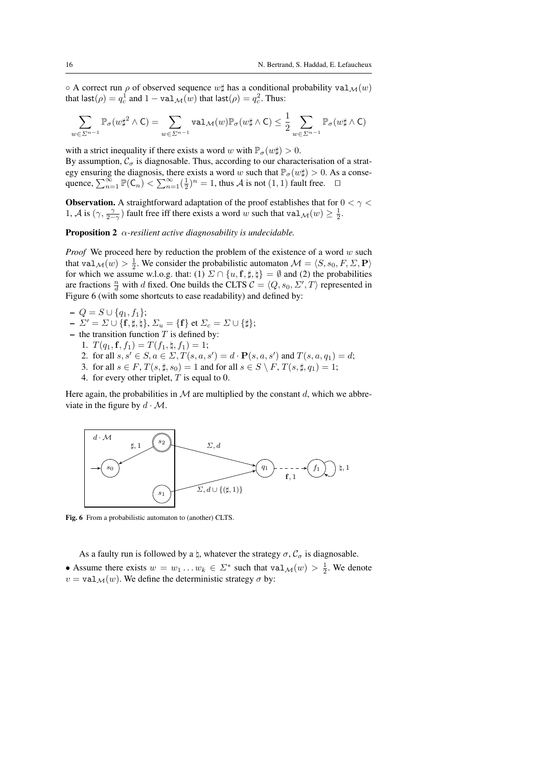$\circ$  A correct run  $\rho$  of observed sequence  $w\sharp$  has a conditional probability val $\mathcal{M}(w)$ that last $(\rho)=q_c^1$  and  $1-{\tt val}_{{\cal M}}(w)$  that last $(\rho)=q_c^2.$  Thus:

$$
\sum_{w \in \Sigma^{n-1}} \mathbb{P}_{\sigma}(w \sharp^2 \wedge \mathsf{C}) = \sum_{w \in \Sigma^{n-1}} \mathrm{val}_{\mathcal{M}}(w) \mathbb{P}_{\sigma}(w \sharp \wedge \mathsf{C}) \leq \frac{1}{2} \sum_{w \in \Sigma^{n-1}} \mathbb{P}_{\sigma}(w \sharp \wedge \mathsf{C})
$$

with a strict inequality if there exists a word w with  $\mathbb{P}_{\sigma}(w\sharp) > 0$ . By assumption,  $C_{\sigma}$  is diagnosable. Thus, according to our characterisation of a strategy ensuring the diagnosis, there exists a word w such that  $\mathbb{P}_{\sigma}(w\sharp) > 0$ . As a consequence,  $\sum_{n=1}^{\infty} \mathbb{P}(\mathsf{C}_n) < \sum_{n=1}^{\infty} (\frac{1}{2})^n = 1$ , thus A is not  $(1, 1)$  fault free.  $\Box$ 

**Observation.** A straightforward adaptation of the proof establishes that for  $0 < \gamma <$ 1, A is  $(\gamma, \frac{\gamma}{2-\gamma})$  fault free iff there exists a word w such that val  $\mathcal{M}(w) \geq \frac{1}{2}$ .

Proposition 2 α*-resilient active diagnosability is undecidable.*

*Proof* We proceed here by reduction the problem of the existence of a word w such that val  $_{\mathcal{M}}(w) > \frac{1}{2}$ . We consider the probabilistic automaton  $\mathcal{M} = \langle S, s_0, F, \Sigma, \mathbf{P} \rangle$ for which we assume w.l.o.g. that: (1)  $\Sigma \cap \{u, f, \sharp, \sharp\} = \emptyset$  and (2) the probabilities are fractions  $\frac{n}{d}$  with d fixed. One builds the CLTS  $C = \langle Q, s_0, \Sigma', T \rangle$  represented in Figure 6 (with some shortcuts to ease readability) and defined by:

- $Q = S ∪ {q<sub>1</sub>, f<sub>1</sub>};$
- $-\Sigma' = \Sigma \cup \{\mathbf{f}, \sharp, \natural\}, \Sigma_u = \{\mathbf{f}\}\$ et  $\Sigma_c = \Sigma \cup \{\sharp\};$
- the transition function  $T$  is defined by:
	- 1.  $T(q_1, \mathbf{f}, f_1) = T(f_1, \natural, f_1) = 1;$
	- 2. for all  $s, s' \in S, a \in \Sigma, T(s, a, s') = d \cdot P(s, a, s')$  and  $T(s, a, q_1) = d$ ;
	- 3. for all  $s \in F$ ,  $T(s, \sharp, s_0) = 1$  and for all  $s \in S \setminus F$ ,  $T(s, \sharp, q_1) = 1$ ;
	- 4. for every other triplet, T is equal to 0.

Here again, the probabilities in  $M$  are multiplied by the constant d, which we abbreviate in the figure by  $d \cdot \mathcal{M}$ .



Fig. 6 From a probabilistic automaton to (another) CLTS.

As a faulty run is followed by a  $\natural$ , whatever the strategy  $\sigma$ ,  $C_{\sigma}$  is diagnosable.

• Assume there exists  $w = w_1 \dots w_k \in \Sigma^*$  such that  $\text{val}_{\mathcal{M}}(w) > \frac{1}{2}$ . We denote  $v = val_{\mathcal{M}}(w)$ . We define the deterministic strategy  $\sigma$  by: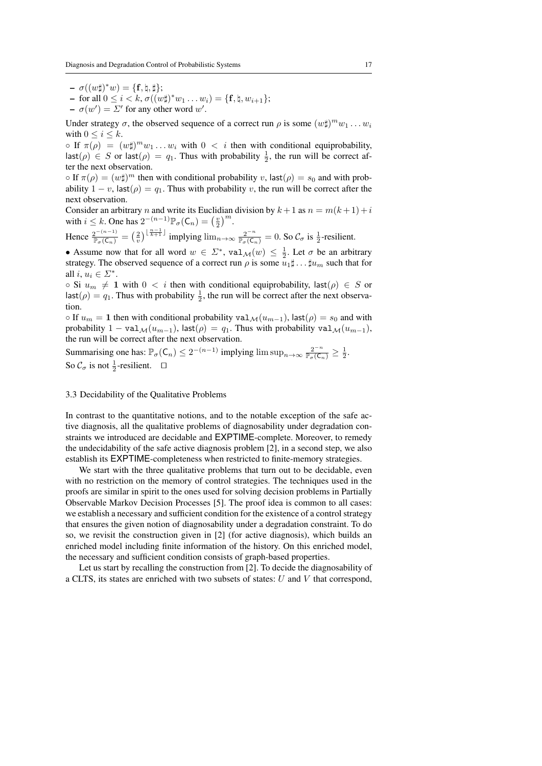- $\sigma((w\sharp)^*w) = \{\mathbf{f}, \natural, \sharp\};$
- $-$  for all  $0 \le i < k$ ,  $\sigma((w\sharp)^* w_1 \dots w_i) = \{\mathbf{f}, \natural, w_{i+1}\};$
- $\sigma(w') = \Sigma'$  for any other word w'.

Under strategy  $\sigma$ , the observed sequence of a correct run  $\rho$  is some  $(w\sharp)^m w_1 \dots w_i$ with  $0 \leq i \leq k$ .

 $\circ$  If  $\pi(\rho) = (w\sharp)^m w_1 \dots w_i$  with  $0 < i$  then with conditional equiprobability,  $\textsf{last}(\rho) \in S$  or  $\textsf{last}(\rho) = q_1$ . Thus with probability  $\frac{1}{2}$ , the run will be correct after the next observation.

 $\circ$  If  $\pi(\rho) = (w\sharp)^m$  then with conditional probability v, last $(\rho) = s_0$  and with probability  $1 - v$ , last $(\rho) = q_1$ . Thus with probability v, the run will be correct after the next observation.

Consider an arbitrary n and write its Euclidian division by  $k + 1$  as  $n = m(k + 1) + i$ with  $i \leq k$ . One has  $2^{-(n-1)} \mathbb{P}_{\sigma}(\mathsf{C}_n) = \left(\frac{v}{2}\right)^m$ .

Hence  $\frac{2^{-(n-1)}}{\mathbb{P}_{\sigma}(\mathsf{C}_n)} = \left(\frac{2}{v}\right)^{\lfloor \frac{n-1}{k+1} \rfloor}$  implying  $\lim_{n \to \infty} \frac{2^{-n}}{\mathbb{P}_{\sigma}(\mathsf{C}_n)} = 0$ . So  $\mathcal{C}_{\sigma}$  is  $\frac{1}{2}$ -resilient.

• Assume now that for all word  $w \in \Sigma^*$ ,  $\text{val}_{\mathcal{M}}(w) \leq \frac{1}{2}$ . Let  $\sigma$  be an arbitrary strategy. The observed sequence of a correct run  $\rho$  is some  $u_1 \sharp \dots \sharp u_m$  such that for all  $i, u_i \in \Sigma^*$ .

 $\circ$  Si  $u_m \neq 1$  with  $0 < i$  then with conditional equiprobability, last( $\rho$ )  $\in S$  or  $\textsf{last}(\rho) = q_1$ . Thus with probability  $\frac{1}{2}$ , the run will be correct after the next observation.

 $\circ$  If  $u_m = 1$  then with conditional probability val $\mathcal{M}(u_{m-1})$ , last $(\rho) = s_0$  and with probability  $1 - \text{val}_{\mathcal{M}}(u_{m-1}), \text{last}(\rho) = q_1.$  Thus with probability  $\text{val}_{\mathcal{M}}(u_{m-1}),$ the run will be correct after the next observation.

Summarising one has:  $\mathbb{P}_{\sigma}(\mathsf{C}_n) \leq 2^{-(n-1)}$  implying  $\limsup_{n\to\infty} \frac{2^{-n}}{\mathbb{P}_{\sigma}(\mathsf{C}_n)} \geq \frac{1}{2}$ . So  $C_{\sigma}$  is not  $\frac{1}{2}$ -resilient.  $\square$ 

#### 3.3 Decidability of the Qualitative Problems

In contrast to the quantitative notions, and to the notable exception of the safe active diagnosis, all the qualitative problems of diagnosability under degradation constraints we introduced are decidable and EXPTIME-complete. Moreover, to remedy the undecidability of the safe active diagnosis problem [2], in a second step, we also establish its EXPTIME-completeness when restricted to finite-memory strategies.

We start with the three qualitative problems that turn out to be decidable, even with no restriction on the memory of control strategies. The techniques used in the proofs are similar in spirit to the ones used for solving decision problems in Partially Observable Markov Decision Processes [5]. The proof idea is common to all cases: we establish a necessary and sufficient condition for the existence of a control strategy that ensures the given notion of diagnosability under a degradation constraint. To do so, we revisit the construction given in [2] (for active diagnosis), which builds an enriched model including finite information of the history. On this enriched model, the necessary and sufficient condition consists of graph-based properties.

Let us start by recalling the construction from [2]. To decide the diagnosability of a CLTS, its states are enriched with two subsets of states:  $U$  and  $V$  that correspond,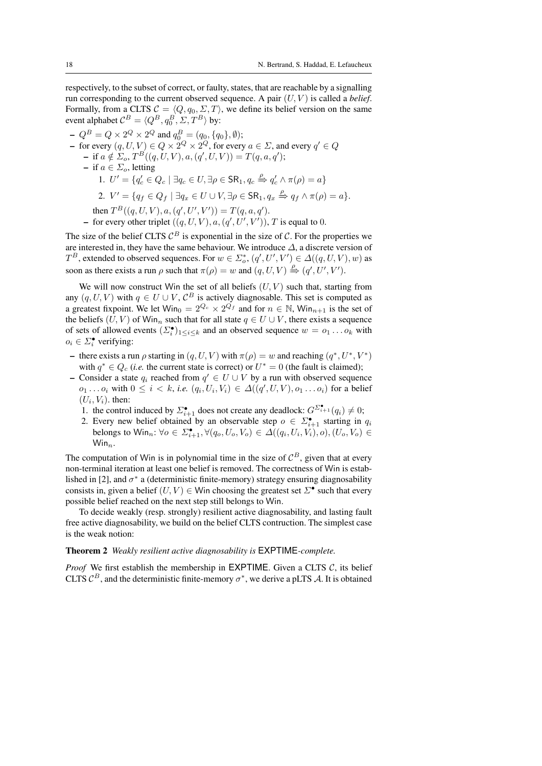respectively, to the subset of correct, or faulty, states, that are reachable by a signalling run corresponding to the current observed sequence. A pair  $(U, V)$  is called a *belief*. Formally, from a CLTS  $C = \langle Q, q_0, \Sigma, T \rangle$ , we define its belief version on the same event alphabet  $\mathcal{C}^B = \langle Q^B, q_0^B, \Sigma, T^B \rangle$  by:

 $-Q^B = Q \times 2^Q \times 2^Q$  and  $q_0^B = (q_0, \{q_0\}, \emptyset);$ – for every  $(q, U, V) \in Q \times 2^Q \times 2^Q$ , for every  $a \in \Sigma$ , and every  $q' \in Q$ - if  $a \notin \Sigma_o$ ,  $T^B((q, U, V), a, (q', U, V)) = T(q, a, q')$ ; – if  $a \in \Sigma_o$ , letting 1.  $U' = \{q'_c \in Q_c \mid \exists q_c \in U, \exists \rho \in \mathsf{SR}_1, q_c \xrightarrow{\rho} q'_c \wedge \pi(\rho) = a\}$ 2.  $V' = \{q_f \in Q_f \mid \exists q_x \in U \cup V, \exists \rho \in \mathsf{SR}_1, q_x \stackrel{\rho}{\Rightarrow} q_f \wedge \pi(\rho) = a\}.$ then  $T^B((q, U, V), a, (q', U', V')) = T(q, a, q').$ - for every other triplet  $((q, U, V), a, (q', U', V'))$ , T is equal to 0.

The size of the belief CLTS  $\mathcal{C}^B$  is exponential in the size of  $\mathcal{C}$ . For the properties we are interested in, they have the same behaviour. We introduce  $\Delta$ , a discrete version of  $T^{B}$ , extended to observed sequences. For  $w \in \Sigma_{o}^{*}$ ,  $(q',U',V') \in \Delta((q,U,V),w)$  as soon as there exists a run  $\rho$  such that  $\pi(\rho) = w$  and  $(q, U, V) \stackrel{\rho}{\Rightarrow} (q', U', V')$ .

We will now construct Win the set of all beliefs  $(U, V)$  such that, starting from any  $(q, U, V)$  with  $q \in U \cup V$ ,  $C^B$  is actively diagnosable. This set is computed as a greatest fixpoint. We let  $\text{Win}_{0} = 2^{Q_c} \times 2^{Q_f}$  and for  $n \in \mathbb{N}$ ,  $\text{Win}_{n+1}$  is the set of the beliefs  $(U, V)$  of Win<sub>n</sub> such that for all state  $q \in U \cup V$ , there exists a sequence of sets of allowed events  $(\Sigma_i^{\bullet})_{1 \leq i \leq k}$  and an observed sequence  $w = o_1 \dots o_k$  with  $o_i \in \Sigma_i^{\bullet}$  verifying:

- there exists a run  $\rho$  starting in  $(q, U, V)$  with  $\pi(\rho) = w$  and reaching  $(q^*, U^*, V^*)$ with  $q^* \in Q_c$  (*i.e.* the current state is correct) or  $U^* = 0$  (the fault is claimed);
- Consider a state  $q_i$  reached from  $q' \in U \cup V$  by a run with observed sequence  $o_1 \dots o_i$  with  $0 \le i < k$ , *i.e.*  $(q_i, U_i, V_i) \in \Delta((q', U, V), o_1 \dots o_i)$  for a belief  $(U_i, V_i)$ . then:
	- 1. the control induced by  $\sum_{i=1}^{\bullet}$  does not create any deadlock:  $G^{\sum_{i=1}^{\bullet}}(q_i) \neq 0$ ;
	- 2. Every new belief obtained by an observable step  $o \in \Sigma_{i+1}^{\bullet}$  starting in  $q_i$ belongs to  $\textsf{Win}_n: \forall o \in \Sigma_{i+1}^{\bullet}, \forall (q_o, U_o, V_o) \in \Delta((q_i, U_i, V_i), o), (U_o, V_o) \in \Delta((q_i, U_o, V_o))$  $Win_n$ .

The computation of Win is in polynomial time in the size of  $\mathcal{C}^B$ , given that at every non-terminal iteration at least one belief is removed. The correctness of Win is established in [2], and  $\sigma^*$  a (deterministic finite-memory) strategy ensuring diagnosability consists in, given a belief  $(U, V) \in$  Win choosing the greatest set  $\Sigma^{\bullet}$  such that every possible belief reached on the next step still belongs to Win.

To decide weakly (resp. strongly) resilient active diagnosability, and lasting fault free active diagnosability, we build on the belief CLTS contruction. The simplest case is the weak notion:

#### Theorem 2 *Weakly resilient active diagnosability is* EXPTIME*-complete.*

*Proof* We first establish the membership in EXPTIME. Given a CLTS  $C$ , its belief CLTS  $\mathcal{C}^B$ , and the deterministic finite-memory  $\sigma^*$ , we derive a pLTS A. It is obtained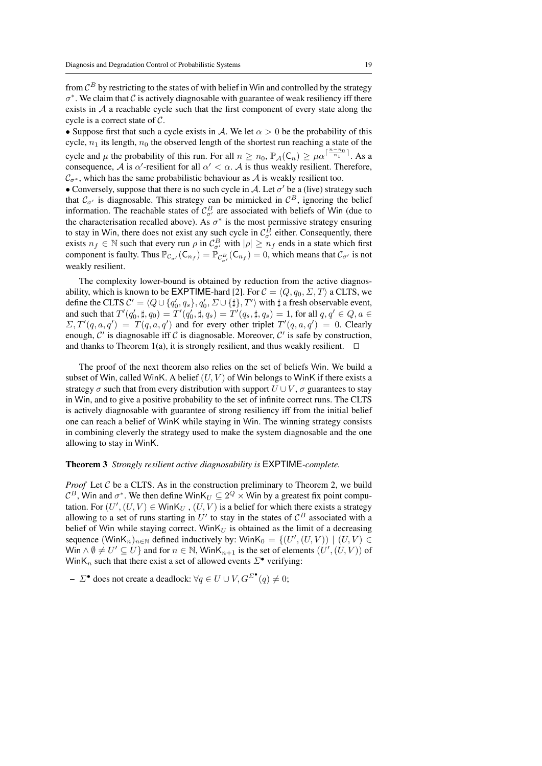from  $\mathcal{C}^B$  by restricting to the states of with belief in Win and controlled by the strategy  $\sigma^*$ . We claim that  $\mathcal C$  is actively diagnosable with guarantee of weak resiliency iff there exists in  $A$  a reachable cycle such that the first component of every state along the cycle is a correct state of C.

• Suppose first that such a cycle exists in A. We let  $\alpha > 0$  be the probability of this cycle,  $n_1$  its length,  $n_0$  the observed length of the shortest run reaching a state of the cycle and  $\mu$  the probability of this run. For all  $n \ge n_0$ ,  $\mathbb{P}_{\mathcal{A}}(\mathsf{C}_n) \ge \mu \alpha^{\lceil \frac{n-n_0}{n_1} \rceil}$ . As a consequence, A is  $\alpha'$ -resilient for all  $\alpha' < \alpha$ . A is thus weakly resilient. Therefore,  $\mathcal{C}_{\sigma^*}$ , which has the same probabilistic behaviour as A is weakly resilient too.

• Conversely, suppose that there is no such cycle in A. Let  $\sigma'$  be a (live) strategy such that  $C_{\sigma}$  is diagnosable. This strategy can be mimicked in  $C^B$ , ignoring the belief information. The reachable states of  $C_{\sigma'}^B$  are associated with beliefs of Win (due to the characterisation recalled above). As  $\sigma^*$  is the most permissive strategy ensuring to stay in Win, there does not exist any such cycle in  $\mathcal{C}^B_{\sigma'}$  either. Consequently, there exists  $n_f \in \mathbb{N}$  such that every run  $\rho$  in  $\mathcal{C}_{\sigma'}^B$  with  $|\rho| \geq n_f$  ends in a state which first component is faulty. Thus  $\mathbb{P}_{\mathcal{C}_{\sigma'}}(\mathsf{C}_{n_f}) = \mathbb{P}_{\mathcal{C}_{\sigma'}^B}(\mathsf{C}_{n_f}) = 0$ , which means that  $\mathcal{C}_{\sigma'}$  is not weakly resilient.

The complexity lower-bound is obtained by reduction from the active diagnosability, which is known to be **EXPTIME**-hard [2]. For  $C = \langle Q, q_0, \Sigma, T \rangle$  a CLTS, we define the CLTS  $C' = \langle Q \cup \{q'_0, q_s\}, q'_0, \Sigma \cup \{\sharp\}, T' \rangle$  with  $\sharp$  a fresh observable event, and such that  $T'(q'_0, \sharp, q_0) = T'(q'_0, \sharp, q_s) = T'(q_s, \sharp, q_s) = 1$ , for all  $q, q' \in Q, a \in \mathbb{R}$  $\Sigma, T'(q, a, q') = T(q, a, q')$  and for every other triplet  $T'(q, a, q') = 0$ . Clearly enough,  $C'$  is diagnosable iff C is diagnosable. Moreover,  $C'$  is safe by construction, and thanks to Theorem 1(a), it is strongly resilient, and thus weakly resilient.  $\square$ 

The proof of the next theorem also relies on the set of beliefs Win. We build a subset of Win, called WinK. A belief  $(U, V)$  of Win belongs to WinK if there exists a strategy  $\sigma$  such that from every distribution with support  $U \cup V$ ,  $\sigma$  guarantees to stay in Win, and to give a positive probability to the set of infinite correct runs. The CLTS is actively diagnosable with guarantee of strong resiliency iff from the initial belief one can reach a belief of WinK while staying in Win. The winning strategy consists in combining cleverly the strategy used to make the system diagnosable and the one allowing to stay in WinK.

#### Theorem 3 *Strongly resilient active diagnosability is* EXPTIME*-complete.*

*Proof* Let  $C$  be a CLTS. As in the construction preliminary to Theorem 2, we build  $\mathcal{C}^B$ , Win and  $\sigma^*$ . We then define WinK $_U\subseteq 2^Q\times$  Win by a greatest fix point computation. For  $(U', (U, V) \in \text{WinK}_U, (U, V)$  is a belief for which there exists a strategy allowing to a set of runs starting in  $U'$  to stay in the states of  $\mathcal{C}^B$  associated with a belief of Win while staying correct. Win $K_U$  is obtained as the limit of a decreasing sequence  $(\textsf{WinK}_n)_{n \in \mathbb{N}}$  defined inductively by:  $\textsf{WinK}_0 = \{ (U', (U, V)) \mid (U, V) \in$ Win  $\wedge \emptyset \neq U' \subseteq U$  and for  $n \in \mathbb{N}$ , WinK $n+1$  is the set of elements  $(U', (U, V))$  of WinK<sub>n</sub> such that there exist a set of allowed events  $\Sigma^{\bullet}$  verifying:

 $- \Sigma^{\bullet}$  does not create a deadlock:  $\forall q \in U \cup V, G^{\Sigma^{\bullet}}(q) \neq 0;$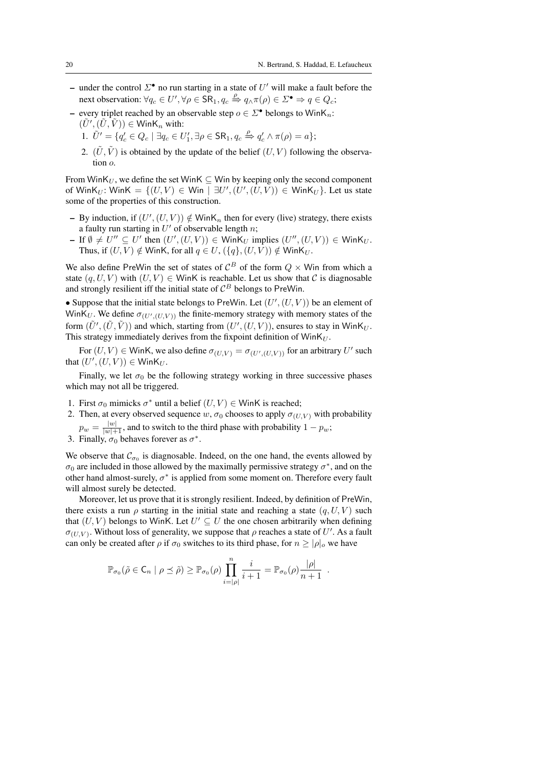- under the control  $\Sigma^{\bullet}$  no run starting in a state of U' will make a fault before the next observation:  $\forall q_c \in U', \forall \rho \in \overline{\mathsf{SR}}_1, q_c \stackrel{\rho}{\Rightarrow} q_\wedge \pi(\rho) \in \Sigma^\bullet \Rightarrow q \in Q_c;$
- every triplet reached by an observable step  $o \in \Sigma^{\bullet}$  belongs to WinK<sub>n</sub>:  $(\tilde{U}',(\tilde{U},\tilde{V})) \in \mathsf{Wink}_n$  with:
	- 1.  $\tilde{U}' = \{q'_c \in Q_c \mid \exists q_c \in U'_1, \exists \rho \in \mathsf{SR}_1, q_c \stackrel{\rho}{\Rightarrow} q'_c \wedge \pi(\rho) = a\};$
	- 2.  $(\tilde{U}, \tilde{V})$  is obtained by the update of the belief  $(U, V)$  following the observation o.

From WinK<sub>U</sub>, we define the set WinK  $\subseteq$  Win by keeping only the second component of WinK<sub>U</sub>: WinK =  $\{(U, V) \in$  Win  $| \exists U', (U', (U, V)) \in$  WinK<sub>U</sub>}. Let us state some of the properties of this construction.

- By induction, if  $(U', (U, V)) \notin \text{WinK}_n$  then for every (live) strategy, there exists a faulty run starting in  $U'$  of observable length n;
- $-$  If  $\emptyset \neq U'' \subseteq U'$  then  $(U', (U, V)) \in$  WinK<sub>U</sub> implies  $(U'', (U, V)) \in$  WinK<sub>U</sub>. Thus, if  $(U, V) \notin W$ inK, for all  $q \in U$ ,  $({q}, (U, V)) \notin W$ inK $_U$ .

We also define PreWin the set of states of  $\mathcal{C}^B$  of the form  $Q \times$  Win from which a state  $(q, U, V)$  with  $(U, V) \in$  WinK is reachable. Let us show that C is diagnosable and strongly resilient iff the initial state of  $\mathcal{C}^B$  belongs to PreWin.

• Suppose that the initial state belongs to PreWin. Let  $(U', (U, V))$  be an element of WinK<sub>U</sub>. We define  $\sigma_{(U',(U,V))}$  the finite-memory strategy with memory states of the form  $(\tilde{U}',(\tilde{U},\tilde{V}))$  and which, starting from  $(U',(U,V))$ , ensures to stay in WinK<sub>U</sub>. This strategy immediately derives from the fixpoint definition of  $W\in K_U$ .

For  $(U, V) \in$  WinK, we also define  $\sigma_{(U, V)} = \sigma_{(U', (U, V))}$  for an arbitrary U' such that  $(U', (U, V)) \in \mathsf{Wink}_U$ .

Finally, we let  $\sigma_0$  be the following strategy working in three successive phases which may not all be triggered.

- 1. First  $\sigma_0$  mimicks  $\sigma^*$  until a belief  $(U, V) \in$  WinK is reached;
- 2. Then, at every observed sequence w,  $\sigma_0$  chooses to apply  $\sigma_{(U,V)}$  with probability  $p_w = \frac{|w|}{|w|+1}$ , and to switch to the third phase with probability  $1 - p_w$ ;
- 
- 3. Finally,  $\sigma_0$  behaves forever as  $\sigma^*$ .

We observe that  $\mathcal{C}_{\sigma_0}$  is diagnosable. Indeed, on the one hand, the events allowed by  $\sigma_0$  are included in those allowed by the maximally permissive strategy  $\sigma^*$ , and on the other hand almost-surely,  $\sigma^*$  is applied from some moment on. Therefore every fault will almost surely be detected.

Moreover, let us prove that it is strongly resilient. Indeed, by definition of PreWin, there exists a run  $\rho$  starting in the initial state and reaching a state  $(q, U, V)$  such that  $(U, V)$  belongs to WinK. Let  $U' \subseteq U$  the one chosen arbitrarily when defining  $\sigma_{(U,V)}$ . Without loss of generality, we suppose that  $\rho$  reaches a state of U'. As a fault can only be created after  $\rho$  if  $\sigma_0$  switches to its third phase, for  $n > |\rho|_o$  we have

$$
\mathbb{P}_{\sigma_0}(\tilde{\rho} \in \mathsf{C}_n \mid \rho \preceq \tilde{\rho}) \ge \mathbb{P}_{\sigma_0}(\rho) \prod_{i=|\rho|}^n \frac{i}{i+1} = \mathbb{P}_{\sigma_0}(\rho) \frac{|\rho|}{n+1}
$$

.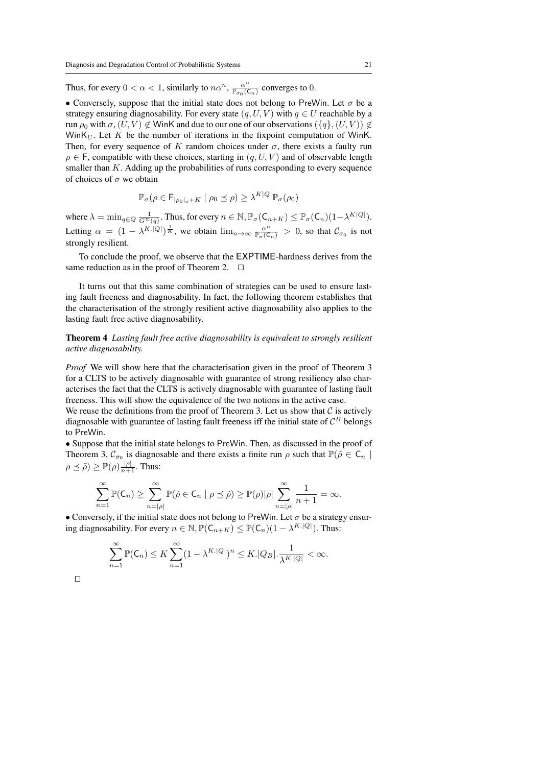Thus, for every  $0 < \alpha < 1$ , similarly to  $n\alpha^n$ ,  $\frac{\alpha^n}{\mathbb{P}_{\sigma_0}(C_n)}$  converges to 0.

• Conversely, suppose that the initial state does not belong to PreWin. Let  $\sigma$  be a strategy ensuring diagnosability. For every state  $(q, U, V)$  with  $q \in U$  reachable by a run  $\rho_0$  with  $\sigma$ ,  $(U, V) \notin$  WinK and due to our one of our observations  $({q}, (U, V)) \notin$ WinK $_U$ . Let K be the number of iterations in the fixpoint computation of WinK. Then, for every sequence of K random choices under  $\sigma$ , there exists a faulty run  $\rho \in F$ , compatible with these choices, starting in  $(q, U, V)$  and of observable length smaller than  $K$ . Adding up the probabilities of runs corresponding to every sequence of choices of  $\sigma$  we obtain

$$
\mathbb{P}_{\sigma}(\rho \in \mathsf{F}_{|\rho_0|_o + K} \mid \rho_0 \preceq \rho) \ge \lambda^{K|Q|} \mathbb{P}_{\sigma}(\rho_0)
$$

where  $\lambda = \min_{q \in Q} \frac{1}{G^{\Sigma}(q)}$ . Thus, for every  $n \in \mathbb{N}$ ,  $\mathbb{P}_{\sigma}(\mathsf{C}_{n+K}) \leq \mathbb{P}_{\sigma}(\mathsf{C}_n)(1 - \lambda^{K|Q|})$ . Letting  $\alpha = (1 - \lambda^{K.|Q|})^{\frac{1}{K}}$ , we obtain  $\lim_{n \to \infty} \frac{\alpha^n}{\mathbb{P}_{\sigma}(\mathsf{C}_n)} > 0$ , so that  $\mathcal{C}_{\sigma_0}$  is not strongly resilient.

To conclude the proof, we observe that the EXPTIME-hardness derives from the same reduction as in the proof of Theorem 2.  $\Box$ 

It turns out that this same combination of strategies can be used to ensure lasting fault freeness and diagnosability. In fact, the following theorem establishes that the characterisation of the strongly resilient active diagnosability also applies to the lasting fault free active diagnosability.

Theorem 4 *Lasting fault free active diagnosability is equivalent to strongly resilient active diagnosability.*

*Proof* We will show here that the characterisation given in the proof of Theorem 3 for a CLTS to be actively diagnosable with guarantee of strong resiliency also characterises the fact that the CLTS is actively diagnosable with guarantee of lasting fault freeness. This will show the equivalence of the two notions in the active case.

We reuse the definitions from the proof of Theorem 3. Let us show that  $C$  is actively diagnosable with guarantee of lasting fault freeness iff the initial state of  $\mathcal{C}^B$  belongs to PreWin.

• Suppose that the initial state belongs to PreWin. Then, as discussed in the proof of Theorem 3,  $\mathcal{C}_{\sigma_0}$  is diagnosable and there exists a finite run  $\rho$  such that  $\mathbb{P}(\tilde{\rho} \in \mathsf{C}_n$  $\rho \preceq \tilde{\rho}$ )  $\geq \mathbb{P}(\rho) \frac{|\rho|}{n+1}$ . Thus:

$$
\sum_{n=1}^{\infty} \mathbb{P}(\mathsf{C}_n) \ge \sum_{n=|\rho|}^{\infty} \mathbb{P}(\tilde{\rho} \in \mathsf{C}_n \mid \rho \preceq \tilde{\rho}) \ge \mathbb{P}(\rho) |\rho| \sum_{n=|\rho|}^{\infty} \frac{1}{n+1} = \infty.
$$

• Conversely, if the initial state does not belong to PreWin. Let  $\sigma$  be a strategy ensuring diagnosability. For every  $n \in \mathbb{N}, \mathbb{P}(\mathsf{C}_{n+K}) \leq \mathbb{P}(\mathsf{C}_n)(1 - \lambda^{K \cdot |Q|})$ . Thus:

$$
\sum_{n=1}^{\infty} \mathbb{P}(\mathsf{C}_n) \le K \sum_{n=1}^{\infty} (1 - \lambda^{K.|Q|})^n \le K. |Q_B| \cdot \frac{1}{\lambda^{K.|Q|}} < \infty.
$$

 $\Box$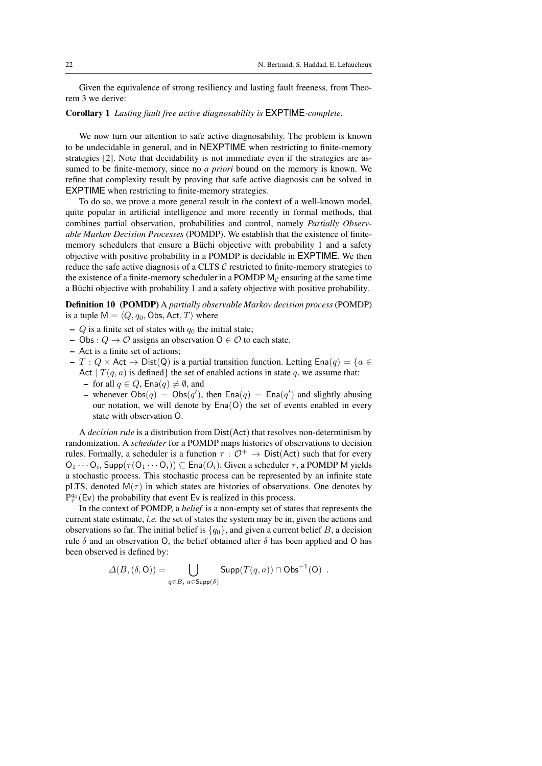Given the equivalence of strong resiliency and lasting fault freeness, from Theorem 3 we derive:

#### Corollary 1 *Lasting fault free active diagnosability is* EXPTIME*-complete.*

We now turn our attention to safe active diagnosability. The problem is known to be undecidable in general, and in NEXPTIME when restricting to finite-memory strategies [2]. Note that decidability is not immediate even if the strategies are assumed to be finite-memory, since no *a priori* bound on the memory is known. We refine that complexity result by proving that safe active diagnosis can be solved in EXPTIME when restricting to finite-memory strategies.

To do so, we prove a more general result in the context of a well-known model, quite popular in artificial intelligence and more recently in formal methods, that combines partial observation, probabilities and control, namely *Partially Observable Markov Decision Processes* (POMDP). We establish that the existence of finitememory schedulers that ensure a Büchi objective with probability 1 and a safety objective with positive probability in a POMDP is decidable in EXPTIME. We then reduce the safe active diagnosis of a CLTS  $\mathcal C$  restricted to finite-memory strategies to the existence of a finite-memory scheduler in a POMDP  $M<sub>C</sub>$  ensuring at the same time a Büchi objective with probability 1 and a safety objective with positive probability.

Definition 10 (POMDP) A *partially observable Markov decision process* (POMDP) is a tuple  $M = \langle Q, q_0, \text{Obs}, \text{Act}, T \rangle$  where

- Q is a finite set of states with  $q_0$  the initial state;
- Obs :  $Q \rightarrow \mathcal{O}$  assigns an observation  $\mathsf{O} \in \mathcal{O}$  to each state.
- Act is a finite set of actions;
- $T: Q \times \text{Act} \rightarrow \text{Dist}(Q)$  is a partial transition function. Letting  $\text{Ena}(q) = \{a \in$ Act  $|T(q, a)$  is defined the set of enabled actions in state q, we assume that:
	- for all  $q \in Q$ , Ena $(q) \neq \emptyset$ , and
	- whenever  $Obs(q) = Obs(q')$ , then  $Ena(q) = Ena(q')$  and slightly abusing our notation, we will denote by  $Ena(O)$  the set of events enabled in every state with observation O.

A *decision rule* is a distribution from Dist(Act) that resolves non-determinism by randomization. A *scheduler* for a POMDP maps histories of observations to decision rules. Formally, a scheduler is a function  $\tau : \mathcal{O}^+ \to \text{Dist}(Act)$  such that for every  $O_1 \cdots O_i$ , Supp $(\tau(O_1 \cdots O_i)) \subseteq \text{Ena}(O_i)$ . Given a scheduler  $\tau$ , a POMDP M yields a stochastic process. This stochastic process can be represented by an infinite state pLTS, denoted  $M(\tau)$  in which states are histories of observations. One denotes by  $\mathbb{P}^{q_0}_{\tau}$  (Ev) the probability that event Ev is realized in this process.

In the context of POMDP, a *belief* is a non-empty set of states that represents the current state estimate, *i.e.* the set of states the system may be in, given the actions and observations so far. The initial belief is  $\{q_0\}$ , and given a current belief B, a decision rule  $\delta$  and an observation O, the belief obtained after  $\delta$  has been applied and O has been observed is defined by:

$$
\Delta(B, (\delta, O)) = \bigcup_{q \in B, \ a \in \text{Supp}(\delta)} \text{Supp}(T(q, a)) \cap \text{Obs}^{-1}(O) \ .
$$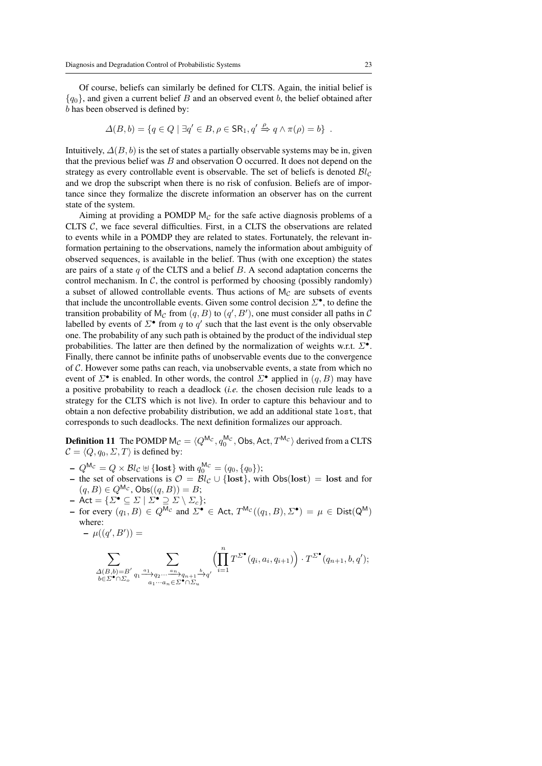Of course, beliefs can similarly be defined for CLTS. Again, the initial belief is  ${q_0}$ , and given a current belief B and an observed event b, the belief obtained after b has been observed is defined by:

$$
\Delta(B, b) = \{q \in Q \mid \exists q' \in B, \rho \in \mathsf{SR}_1, q' \xrightarrow{\rho} q \land \pi(\rho) = b\}.
$$

Intuitively,  $\Delta(B, b)$  is the set of states a partially observable systems may be in, given that the previous belief was  $B$  and observation  $O$  occurred. It does not depend on the strategy as every controllable event is observable. The set of beliefs is denoted  $\mathcal{B}l_{\mathcal{C}}$ and we drop the subscript when there is no risk of confusion. Beliefs are of importance since they formalize the discrete information an observer has on the current state of the system.

Aiming at providing a POMDP  $M_C$  for the safe active diagnosis problems of a CLTS  $C$ , we face several difficulties. First, in a CLTS the observations are related to events while in a POMDP they are related to states. Fortunately, the relevant information pertaining to the observations, namely the information about ambiguity of observed sequences, is available in the belief. Thus (with one exception) the states are pairs of a state  $q$  of the CLTS and a belief  $B$ . A second adaptation concerns the control mechanism. In  $\mathcal{C}$ , the control is performed by choosing (possibly randomly) a subset of allowed controllable events. Thus actions of  $M_C$  are subsets of events that include the uncontrollable events. Given some control decision  $\mathcal{L}^{\bullet}$ , to define the transition probability of  $M_{\mathcal{C}}$  from  $(q, B)$  to  $(q', B')$ , one must consider all paths in  $\mathcal{C}$ labelled by events of  $\Sigma^{\bullet}$  from q to q' such that the last event is the only observable one. The probability of any such path is obtained by the product of the individual step probabilities. The latter are then defined by the normalization of weights w.r.t.  $\Sigma^{\bullet}$ . Finally, there cannot be infinite paths of unobservable events due to the convergence of  $C$ . However some paths can reach, via unobservable events, a state from which no event of  $\Sigma^{\bullet}$  is enabled. In other words, the control  $\Sigma^{\bullet}$  applied in  $(q, B)$  may have a positive probability to reach a deadlock (*i.e.* the chosen decision rule leads to a strategy for the CLTS which is not live). In order to capture this behaviour and to obtain a non defective probability distribution, we add an additional state lost, that corresponds to such deadlocks. The next definition formalizes our approach.

**Definition 11** The POMDP  $M_{\mathcal{C}} = \langle Q^{M_{\mathcal{C}}}, q_0^{M_{\mathcal{C}}}, \text{Obs}, \text{Act}, T^{M_{\mathcal{C}}} \rangle$  derived from a CLTS  $C = \langle Q, q_0, \Sigma, T \rangle$  is defined by:

- $-Q^{\mathsf{M}_{\mathcal{C}}}=Q\times\mathcal{B}l_{\mathcal{C}}\uplus\{\textbf{lost}\} \text{ with } q^{\mathsf{M}_{\mathcal{C}}}_0=(q_0,\{q_0\});$
- the set of observations is  $\mathcal{O} = \mathcal{B}l_{\mathcal{C}} \cup \{\text{lost}\}\$ , with  $\text{Obs}(\text{lost}) = \text{lost}$  and for  $(q, B) \in Q^{Mc}$ ,  $Obs((q, B)) = B;$
- $-$  Act =  $\{\Sigma^\bullet \subseteq \Sigma \mid \Sigma^\bullet \supseteq \Sigma \setminus \Sigma_c\};$
- for every  $(q_1, B) \in Q^{Mc}$  and  $\Sigma^{\bullet} \in$  Act,  $T^{Mc}((q_1, B), \Sigma^{\bullet}) = \mu \in \text{Dist}(Q^M)$ where:

$$
- \ \mu((q',B')) =
$$

$$
\sum_{\substack{\Delta(B,b)=B'\\b\in\Sigma^\bullet\cap\Sigma_o}}\sum_{\substack{a_1,\ a_2,\ \dots \ a_n\\a_1\cdots a_n\in\Sigma^\bullet\cap\Sigma_u}}\left(\prod_{i=1}^n T^{\Sigma^\bullet}(q_i,a_i,q_{i+1})\right)\cdot T^{\Sigma^\bullet}(q_{n+1},b,q');
$$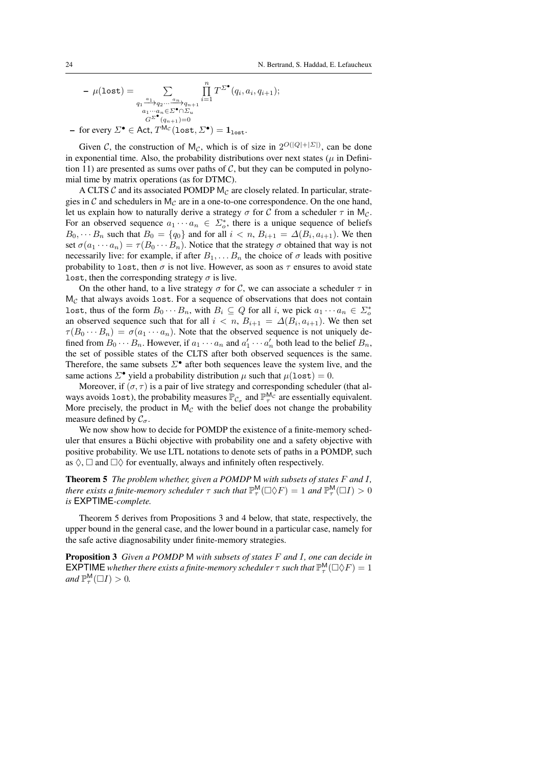$$
-\mu(\text{lost}) = \sum_{\substack{q_1 \stackrel{a_1}{\longrightarrow} q_2 \cdots \stackrel{a_n}{\longrightarrow} q_{n+1} \\ a_1 \cdots a_n \in \Sigma^{\bullet} \cap \Sigma_u \\ G^{\Sigma^{\bullet}}(q_{n+1}) = 0}} \prod_{i=1}^n T^{\Sigma^{\bullet}}(q_i, a_i, q_{i+1});
$$

 $-$  for every  $\Sigma^\bullet \in$  Act,  $T^{\mathsf{M}_{\mathcal{C}}}(\texttt{lost},\Sigma^\bullet) = \mathbf{1}_{\texttt{lost}}.$ 

Given C, the construction of M<sub>C</sub>, which is of size in  $2^{O(|Q|+|\Sigma|)}$ , can be done in exponential time. Also, the probability distributions over next states ( $\mu$  in Definition 11) are presented as sums over paths of  $C$ , but they can be computed in polynomial time by matrix operations (as for DTMC).

A CLTS  $\mathcal C$  and its associated POMDP  $M_{\mathcal C}$  are closely related. In particular, strategies in  $\mathcal C$  and schedulers in  $M_{\mathcal C}$  are in a one-to-one correspondence. On the one hand, let us explain how to naturally derive a strategy  $\sigma$  for C from a scheduler  $\tau$  in M<sub>C</sub>. For an observed sequence  $a_1 \cdots a_n \in \Sigma_o^*$ , there is a unique sequence of beliefs  $B_0, \dots B_n$  such that  $B_0 = \{q_0\}$  and for all  $i < n$ ,  $B_{i+1} = \Delta(B_i, a_{i+1})$ . We then set  $\sigma(a_1 \cdots a_n) = \tau(B_0 \cdots B_n)$ . Notice that the strategy  $\sigma$  obtained that way is not necessarily live: for example, if after  $B_1, \ldots, B_n$  the choice of  $\sigma$  leads with positive probability to lost, then  $\sigma$  is not live. However, as soon as  $\tau$  ensures to avoid state lost, then the corresponding strategy  $\sigma$  is live.

On the other hand, to a live strategy  $\sigma$  for C, we can associate a scheduler  $\tau$  in  $M_{\mathcal{C}}$  that always avoids lost. For a sequence of observations that does not contain lost, thus of the form  $B_0 \cdots B_n$ , with  $B_i \subseteq Q$  for all i, we pick  $a_1 \cdots a_n \in \Sigma_o^*$ an observed sequence such that for all  $i < n$ ,  $B_{i+1} = \Delta(B_i, a_{i+1})$ . We then set  $\tau(B_0 \cdots B_n) = \sigma(a_1 \cdots a_n)$ . Note that the observed sequence is not uniquely defined from  $B_0 \cdots B_n$ . However, if  $a_1 \cdots a_n$  and  $a'_1 \cdots a'_n$  both lead to the belief  $B_n$ , the set of possible states of the CLTS after both observed sequences is the same. Therefore, the same subsets  $\Sigma^{\bullet}$  after both sequences leave the system live, and the same actions  $\Sigma^{\bullet}$  yield a probability distribution  $\mu$  such that  $\mu$ (lost) = 0.

Moreover, if  $(\sigma, \tau)$  is a pair of live strategy and corresponding scheduler (that always avoids lost), the probability measures  $\mathbb{P}_{\mathcal{C}_{\sigma}}$  and  $\mathbb{P}_{\tau}^{M_{\mathcal{C}}}$  are essentially equivalent. More precisely, the product in  $M<sub>C</sub>$  with the belief does not change the probability measure defined by  $C_{\sigma}$ .

We now show how to decide for POMDP the existence of a finite-memory scheduler that ensures a Büchi objective with probability one and a safety objective with positive probability. We use LTL notations to denote sets of paths in a POMDP, such as  $\Diamond$ ,  $\Box$  and  $\Box \Diamond$  for eventually, always and infinitely often respectively.

Theorem 5 *The problem whether, given a POMDP* M *with subsets of states* F *and* I*, there exists a finite-memory scheduler*  $\tau$  *such that*  $\mathbb{P}^{\mathsf{M}}_{\tau}(\square\lozenge F) = 1$  *and*  $\mathbb{P}^{\mathsf{M}}_{\tau}(\square I) > 0$ *is* EXPTIME*-complete.*

Theorem 5 derives from Propositions 3 and 4 below, that state, respectively, the upper bound in the general case, and the lower bound in a particular case, namely for the safe active diagnosability under finite-memory strategies.

Proposition 3 *Given a POMDP* M *with subsets of states* F *and* I*, one can decide in* **EXPTIME** whether there exists a finite-memory scheduler  $\tau$  such that  $\mathbb{P}^{\mathsf{M}}_{\tau}(\Box \Diamond F) = 1$ *and*  $\mathbb{P}_{\tau}^{M}(\square I) > 0$ *.*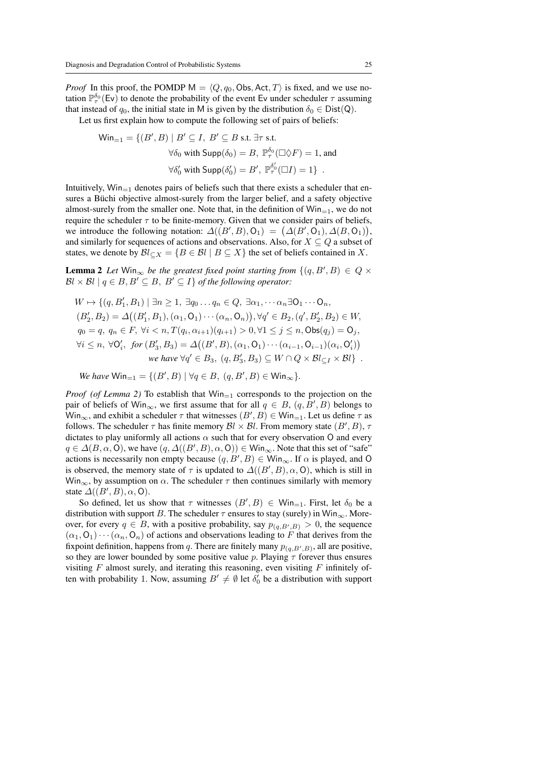*Proof* In this proof, the POMDP  $M = \langle Q, q_0, \text{Obs}, \text{Act}, T \rangle$  is fixed, and we use notation  $\mathbb{P}_{\tau}^{\delta_0}(\text{Ev})$  to denote the probability of the event Ev under scheduler  $\tau$  assuming that instead of  $q_0$ , the initial state in M is given by the distribution  $\delta_0 \in \text{Dist}(Q)$ .

Let us first explain how to compute the following set of pairs of beliefs:

$$
\begin{aligned}\n\textsf{Win}_{=1} &= \{ (B', B) \mid B' \subseteq I, \ B' \subseteq B \text{ s.t. } \exists \tau \text{ s.t. } \\
&\forall \delta_0 \text{ with } \textsf{Supp}(\delta_0) = B, \ \mathbb{P}^{\delta_0}_\tau(\Box \Diamond F) = 1 \text{, and } \\
&\forall \delta'_0 \text{ with } \textsf{Supp}(\delta'_0) = B', \ \mathbb{P}^{\delta'_0}_\tau(\Box I) = 1 \} \end{aligned}
$$

Intuitively,  $Win_{=1}$  denotes pairs of beliefs such that there exists a scheduler that ensures a Büchi objective almost-surely from the larger belief, and a safety objective almost-surely from the smaller one. Note that, in the definition of  $Win_{=1}$ , we do not require the scheduler  $\tau$  to be finite-memory. Given that we consider pairs of beliefs, we introduce the following notation:  $\Delta((B',B),O_1) = (\Delta(B',O_1), \Delta(B,O_1)),$ and similarly for sequences of actions and observations. Also, for  $X \subseteq Q$  a subset of states, we denote by  $\mathcal{B}l_{\subseteq X} = \{B \in \mathcal{B}l \mid B \subseteq X\}$  the set of beliefs contained in X.

**Lemma 2** Let Win<sub>∞</sub> be the greatest fixed point starting from  $\{(q, B', B) \in Q \times$  $Bl \times Bl \mid q \in B, B' \subseteq B, B' \subseteq I$  *of the following operator:* 

$$
W \mapsto \{ (q, B'_1, B_1) \mid \exists n \ge 1, \exists q_0 \dots q_n \in Q, \exists \alpha_1, \dots \alpha_n \exists \mathbf{O}_1 \dots \mathbf{O}_n, (B'_2, B_2) = \Delta((B'_1, B_1), (\alpha_1, \mathbf{O}_1) \dots (\alpha_n, \mathbf{O}_n)), \forall q' \in B_2, (q', B'_2, B_2) \in W, q_0 = q, q_n \in F, \forall i < n, T(q_i, \alpha_{i+1})(q_{i+1}) > 0, \forall 1 \le j \le n, \text{Obs}(q_j) = \mathbf{O}_j, \forall i \le n, \forall \mathbf{O}'_i, \text{ for } (B'_3, B_3) = \Delta((B', B), (\alpha_1, \mathbf{O}_1) \dots (\alpha_{i-1}, \mathbf{O}_{i-1})(\alpha_i, \mathbf{O}'_i)) we have \forall q' \in B_3, (q, B'_3, B_3) \subseteq W \cap Q \times \mathcal{B}l_{\subseteq I} \times \mathcal{B}l \}.
$$

*We have*  $\text{Win}_{=1} = \{ (B', B) \mid \forall q \in B, (q, B', B) \in \text{Win}_{\infty} \}.$ 

*Proof* (of Lemma 2) To establish that  $Win_{-1}$  corresponds to the projection on the pair of beliefs of Win<sub>∞</sub>, we first assume that for all  $q \in B$ ,  $(q, B', B)$  belongs to  $\text{Win}_{\infty}$ , and exhibit a scheduler  $\tau$  that witnesses  $(B', B) \in \text{Win}_{=1}$ . Let us define  $\tau$  as follows. The scheduler  $\tau$  has finite memory  $\mathcal{B}l \times \mathcal{B}l$ . From memory state  $(B', B)$ ,  $\tau$ dictates to play uniformly all actions  $\alpha$  such that for every observation O and every  $q \in \Delta(B, \alpha, 0)$ , we have  $(q, \Delta((B', B), \alpha, 0)) \in \mathsf{Win}_{\infty}$ . Note that this set of "safe" actions is necessarily non empty because  $(q, B', B) \in \mathsf{Win}_{\infty}$ . If  $\alpha$  is played, and O is observed, the memory state of  $\tau$  is updated to  $\Delta((B',B),\alpha, 0)$ , which is still in  $Win_{\infty}$ , by assumption on  $\alpha$ . The scheduler  $\tau$  then continues similarly with memory state  $\Delta((B',B),\alpha,0)$ .

So defined, let us show that  $\tau$  witnesses  $(B', B) \in \mathsf{Win}_{=1}$ . First, let  $\delta_0$  be a distribution with support B. The scheduler  $\tau$  ensures to stay (surely) in Win<sub>∞</sub>. Moreover, for every  $q \in B$ , with a positive probability, say  $p_{(q,B',B)} > 0$ , the sequence  $(\alpha_1, 0_1)\cdots(\alpha_n, 0_n)$  of actions and observations leading to F that derives from the fixpoint definition, happens from q. There are finitely many  $p_{(q,B',B)}$ , all are positive, so they are lower bounded by some positive value p. Playing  $\tau$  forever thus ensures visiting  $F$  almost surely, and iterating this reasoning, even visiting  $F$  infinitely often with probability 1. Now, assuming  $B' \neq \emptyset$  let  $\delta'_0$  be a distribution with support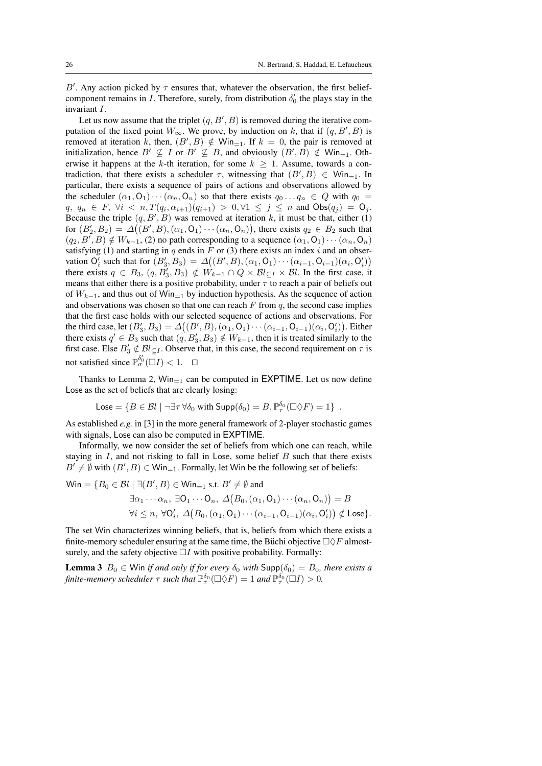B'. Any action picked by  $\tau$  ensures that, whatever the observation, the first beliefcomponent remains in *I*. Therefore, surely, from distribution  $\delta'_0$  the plays stay in the invariant I.

Let us now assume that the triplet  $(q, B', B)$  is removed during the iterative computation of the fixed point  $W_{\infty}$ . We prove, by induction on k, that if  $(q, B', B)$  is removed at iteration k, then,  $(B', B) \notin \mathsf{Win}_{=1}$ . If  $k = 0$ , the pair is removed at initialization, hence  $B' \nsubseteq I$  or  $B' \nsubseteq B$ , and obviously  $(B', B) \notin W$ in<sub>=1</sub>. Otherwise it happens at the k-th iteration, for some  $k \geq 1$ . Assume, towards a contradiction, that there exists a scheduler  $\tau$ , witnessing that  $(B', B) \in \mathsf{Win}_{=1}$ . In particular, there exists a sequence of pairs of actions and observations allowed by the scheduler  $(\alpha_1, 0_1) \cdots (\alpha_n, 0_n)$  so that there exists  $q_0 \ldots q_n \in Q$  with  $q_0 =$  $q, q_n \in F, \forall i \langle n, T(q_i, \alpha_{i+1})(q_{i+1}) > 0, \forall 1 \le j \le n \text{ and } \text{Obs}(q_j) = \text{O}_j.$ Because the triple  $(q, B', B)$  was removed at iteration k, it must be that, either (1) for  $(B'_2, B_2) = \Delta((B', B), (\alpha_1, O_1) \cdots (\alpha_n, O_n)),$  there exists  $q_2 \in B_2$  such that  $(q_2, B', B) \notin W_{k-1}$ , (2) no path corresponding to a sequence  $(\alpha_1, O_1) \cdots (\alpha_n, O_n)$ satisfying (1) and starting in q ends in F or (3) there exists an index i and an observation  $O'_i$  such that for  $(B'_3, B_3) = \Delta((B', B), (\alpha_1, O_1) \cdots (\alpha_{i-1}, O_{i-1})(\alpha_i, O'_i))$ there exists  $q \in B_3$ ,  $(q, B'_3, B_3) \notin W_{k-1} \cap Q \times \mathcal{B}l_{\subseteq I} \times \mathcal{B}l$ . In the first case, it means that either there is a positive probability, under  $\tau$  to reach a pair of beliefs out of  $W_{k-1}$ , and thus out of Win<sub>=1</sub> by induction hypothesis. As the sequence of action and observations was chosen so that one can reach  $F$  from  $q$ , the second case implies that the first case holds with our selected sequence of actions and observations. For the third case, let  $(B'_3, B_3) = \Delta((B', B), (\alpha_1, O_1) \cdots (\alpha_{i-1}, O_{i-1})(\alpha_i, O'_i))$ . Either there exists  $q' \in B_3$  such that  $(q, B'_3, B_3) \notin W_{k-1}$ , then it is treated similarly to the first case. Else  $B'_3 \notin Bl_{\subseteq I}$ . Observe that, in this case, the second requirement on  $\tau$  is not satisfied since  $\mathbb{P}_{\sigma}^{\delta_0'}(\square I) < 1$ .  $\square$ 

Thanks to Lemma 2,  $Win_{=1}$  can be computed in EXPTIME. Let us now define Lose as the set of beliefs that are clearly losing:

$$
\mathsf{Loss} = \{ B \in \mathcal{B}l \mid \neg \exists \tau \, \forall \delta_0 \text{ with } \mathsf{Supp}(\delta_0) = B, \mathbb{P}^{\delta_0}_\tau(\Box \Diamond F) = 1 \}.
$$

As established *e.g.* in [3] in the more general framework of 2-player stochastic games with signals, Lose can also be computed in EXPTIME.

Informally, we now consider the set of beliefs from which one can reach, while staying in  $I$ , and not risking to fall in Lose, some belief  $B$  such that there exists  $B' \neq \emptyset$  with  $(B', B) \in \mathsf{Win}_{=1}$ . Formally, let Win be the following set of beliefs:

 $\textsf{Win} = \{B_0 \in \mathcal{B}l \mid \exists (B', B) \in \textsf{Win}_{=1} \text{ s.t. } B' \neq \emptyset \text{ and } \}$  $\exists \alpha_1 \cdots \alpha_n, \ \exists \mathsf{O}_1 \cdots \mathsf{O}_n, \ \Delta\big(B_0, (\alpha_1, \mathsf{O}_1) \cdots (\alpha_n, \mathsf{O}_n)\big) = B$  $\forall i \leq n, \ \forall \mathsf{O}_i', \ \Delta\big(B_0, (\alpha_1, \mathsf{O}_1) \cdots (\alpha_{i-1}, \mathsf{O}_{i-1})(\alpha_i, \mathsf{O}_i')\big) \notin \mathsf{Lose}\}.$ 

The set Win characterizes winning beliefs, that is, beliefs from which there exists a finite-memory scheduler ensuring at the same time, the Büchi objective  $\Box \Diamond F$  almostsurely, and the safety objective  $\Box I$  with positive probability. Formally:

**Lemma 3**  $B_0 \in$  Win *if and only if for every*  $\delta_0$  *with*  $\text{Supp}(\delta_0) = B_0$ *, there exists a* finite-memory scheduler  $\tau$  such that  $\mathbb{P}^{\delta_0}_\tau(\Box\Diamond F)=1$  and  $\mathbb{P}^{\delta_0}_\tau(\Box I)>0$ .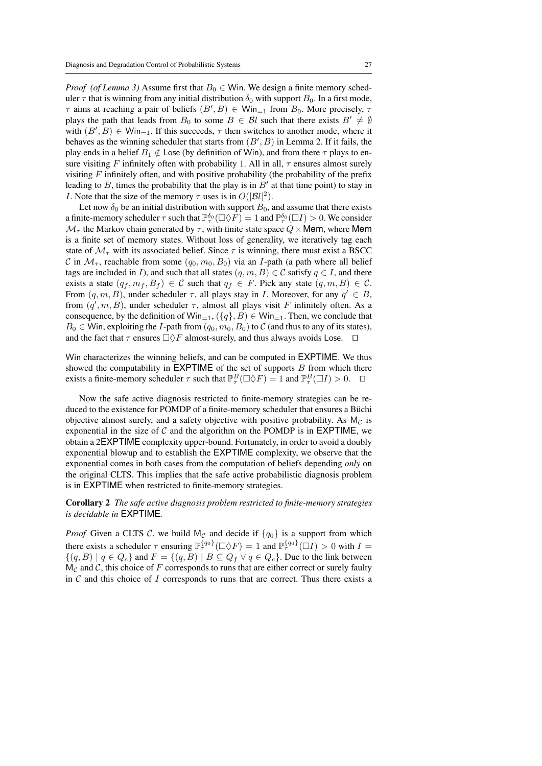*Proof* (of Lemma 3) Assume first that  $B_0 \in$  Win. We design a finite memory scheduler  $\tau$  that is winning from any initial distribution  $\delta_0$  with support  $B_0$ . In a first mode,  $\tau$  aims at reaching a pair of beliefs  $(B', B) \in \mathsf{Win}_{=1}$  from  $B_0$ . More precisely,  $\tau$ plays the path that leads from  $B_0$  to some  $B \in \mathcal{B}$  such that there exists  $B' \neq \emptyset$ with  $(B', B) \in \mathsf{Win}_{=1}$ . If this succeeds,  $\tau$  then switches to another mode, where it behaves as the winning scheduler that starts from  $(B', B)$  in Lemma 2. If it fails, the play ends in a belief  $B_1 \notin \text{Lose}$  (by definition of Win), and from there  $\tau$  plays to ensure visiting F infinitely often with probability 1. All in all,  $\tau$  ensures almost surely visiting  $F$  infinitely often, and with positive probability (the probability of the prefix leading to  $B$ , times the probability that the play is in  $B'$  at that time point) to stay in *I*. Note that the size of the memory  $\tau$  uses is in  $O(|\mathcal{B}l|^2)$ .

Let now  $\delta_0$  be an initial distribution with support  $B_0$ , and assume that there exists a finite-memory scheduler  $\tau$  such that  $\mathbb{P}_{\tau}^{\delta_0}(\Box \Diamond F) = 1$  and  $\mathbb{P}_{\tau}^{\delta_0}(\Box I) > 0$ . We consider  $\mathcal{M}_{\tau}$  the Markov chain generated by  $\tau$ , with finite state space  $Q \times$  Mem, where Mem is a finite set of memory states. Without loss of generality, we iteratively tag each state of  $\mathcal{M}_{\tau}$  with its associated belief. Since  $\tau$  is winning, there must exist a BSCC C in  $\mathcal{M}_{\tau}$ , reachable from some  $(q_0, m_0, B_0)$  via an I-path (a path where all belief tags are included in I), and such that all states  $(q, m, B) \in C$  satisfy  $q \in I$ , and there exists a state  $(q_f, m_f, B_f) \in \mathcal{C}$  such that  $q_f \in F$ . Pick any state  $(q, m, B) \in \mathcal{C}$ . From  $(q, m, B)$ , under scheduler  $\tau$ , all plays stay in *I*. Moreover, for any  $q' \in B$ , from  $(q', m, B)$ , under scheduler  $\tau$ , almost all plays visit F infinitely often. As a consequence, by the definition of  $\text{Win}_{=1}$ ,  $({q}, B) \in \text{Win}_{=1}$ . Then, we conclude that  $B_0 \in$  Win, exploiting the *I*-path from  $(q_0, m_0, B_0)$  to *C* (and thus to any of its states), and the fact that  $\tau$  ensures  $\Box \Diamond F$  almost-surely, and thus always avoids Lose.  $\Box$ 

Win characterizes the winning beliefs, and can be computed in EXPTIME. We thus showed the computability in  $\mathsf{EXPTIME}$  of the set of supports  $B$  from which there exists a finite-memory scheduler  $\tau$  such that  $\mathbb{P}^B_\tau(\Box \Diamond F) = 1$  and  $\mathbb{P}^B_\tau(\Box I) > 0$ .  $\Box$ 

Now the safe active diagnosis restricted to finite-memory strategies can be reduced to the existence for POMDP of a finite-memory scheduler that ensures a Büchi objective almost surely, and a safety objective with positive probability. As  $M_c$  is exponential in the size of  $C$  and the algorithm on the POMDP is in EXPTIME, we obtain a 2EXPTIME complexity upper-bound. Fortunately, in order to avoid a doubly exponential blowup and to establish the EXPTIME complexity, we observe that the exponential comes in both cases from the computation of beliefs depending *only* on the original CLTS. This implies that the safe active probabilistic diagnosis problem is in EXPTIME when restricted to finite-memory strategies.

## Corollary 2 *The safe active diagnosis problem restricted to finite-memory strategies is decidable in* EXPTIME*.*

*Proof* Given a CLTS C, we build  $M_c$  and decide if  $\{q_0\}$  is a support from which there exists a scheduler  $\tau$  ensuring  $\mathbb{P}^{\{q_0\}}_t(\Box \Diamond F) = 1$  and  $\mathbb{P}^{\{q_0\}}_t(\Box I) > 0$  with  $I =$  $\{(q, B) | q \in Q_c\}$  and  $F = \{(q, B) | B \subseteq Q_f \vee q \in Q_c\}$ . Due to the link between  $M_{\mathcal{C}}$  and  $\mathcal{C}$ , this choice of F corresponds to runs that are either correct or surely faulty in  $C$  and this choice of  $I$  corresponds to runs that are correct. Thus there exists a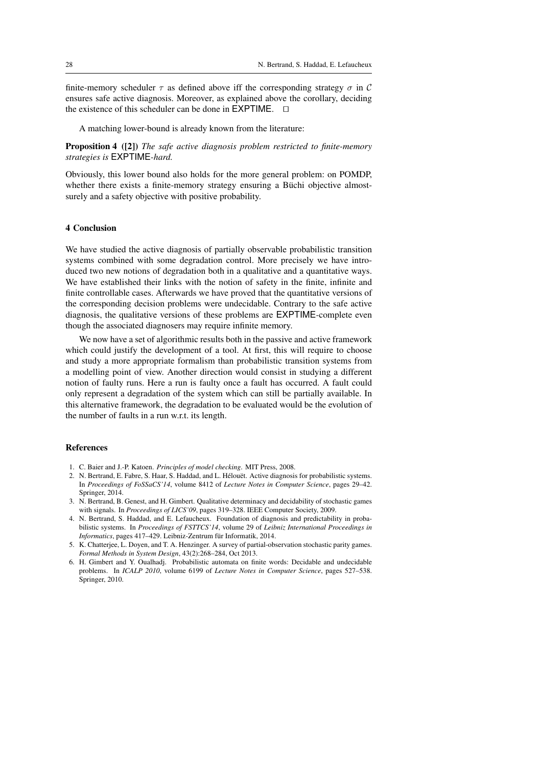finite-memory scheduler  $\tau$  as defined above iff the corresponding strategy  $\sigma$  in C ensures safe active diagnosis. Moreover, as explained above the corollary, deciding the existence of this scheduler can be done in  $EXPTIME$ .  $\Box$ 

A matching lower-bound is already known from the literature:

Proposition 4 ([2]) *The safe active diagnosis problem restricted to finite-memory strategies is* EXPTIME*-hard.*

Obviously, this lower bound also holds for the more general problem: on POMDP, whether there exists a finite-memory strategy ensuring a Büchi objective almostsurely and a safety objective with positive probability.

### 4 Conclusion

We have studied the active diagnosis of partially observable probabilistic transition systems combined with some degradation control. More precisely we have introduced two new notions of degradation both in a qualitative and a quantitative ways. We have established their links with the notion of safety in the finite, infinite and finite controllable cases. Afterwards we have proved that the quantitative versions of the corresponding decision problems were undecidable. Contrary to the safe active diagnosis, the qualitative versions of these problems are EXPTIME-complete even though the associated diagnosers may require infinite memory.

We now have a set of algorithmic results both in the passive and active framework which could justify the development of a tool. At first, this will require to choose and study a more appropriate formalism than probabilistic transition systems from a modelling point of view. Another direction would consist in studying a different notion of faulty runs. Here a run is faulty once a fault has occurred. A fault could only represent a degradation of the system which can still be partially available. In this alternative framework, the degradation to be evaluated would be the evolution of the number of faults in a run w.r.t. its length.

#### References

- 1. C. Baier and J.-P. Katoen. *Principles of model checking*. MIT Press, 2008.
- 2. N. Bertrand, E. Fabre, S. Haar, S. Haddad, and L. Hélouët. Active diagnosis for probabilistic systems. In *Proceedings of FoSSaCS'14*, volume 8412 of *Lecture Notes in Computer Science*, pages 29–42. Springer, 2014.
- 3. N. Bertrand, B. Genest, and H. Gimbert. Qualitative determinacy and decidability of stochastic games with signals. In *Proceedings of LICS'09*, pages 319–328. IEEE Computer Society, 2009.
- 4. N. Bertrand, S. Haddad, and E. Lefaucheux. Foundation of diagnosis and predictability in probabilistic systems. In *Proceedings of FSTTCS'14*, volume 29 of *Leibniz International Proceedings in Informatics*, pages 417–429. Leibniz-Zentrum für Informatik, 2014.
- 5. K. Chatterjee, L. Doyen, and T. A. Henzinger. A survey of partial-observation stochastic parity games. *Formal Methods in System Design*, 43(2):268–284, Oct 2013.
- 6. H. Gimbert and Y. Oualhadj. Probabilistic automata on finite words: Decidable and undecidable problems. In *ICALP 2010*, volume 6199 of *Lecture Notes in Computer Science*, pages 527–538. Springer, 2010.